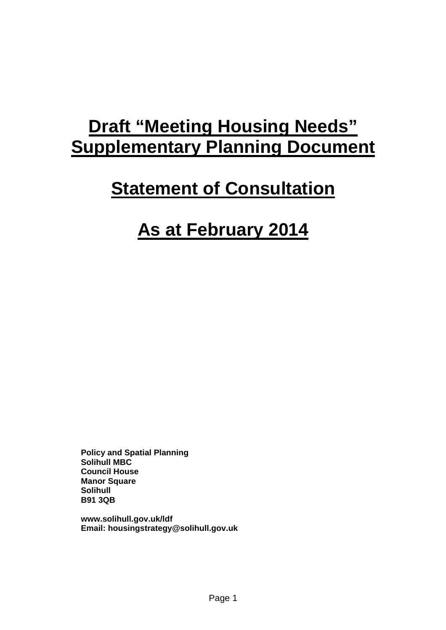# **Draft "Meeting Housing Needs" Supplementary Planning Document**

# **Statement of Consultation**

# **As at February 2014**

**Policy and Spatial Planning Solihull MBC Council House Manor Square Solihull B91 3QB** 

**www.solihull.gov.uk/ldf Email: housingstrategy@solihull.gov.uk**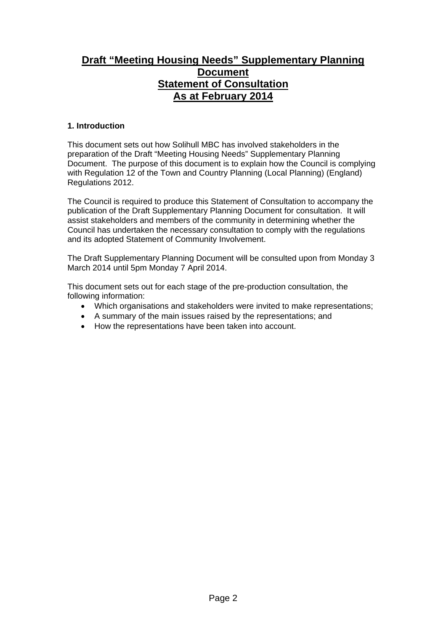# **Draft "Meeting Housing Needs" Supplementary Planning Document Statement of Consultation As at February 2014**

# **1. Introduction**

This document sets out how Solihull MBC has involved stakeholders in the preparation of the Draft "Meeting Housing Needs" Supplementary Planning Document. The purpose of this document is to explain how the Council is complying with Regulation 12 of the Town and Country Planning (Local Planning) (England) Regulations 2012.

The Council is required to produce this Statement of Consultation to accompany the publication of the Draft Supplementary Planning Document for consultation. It will assist stakeholders and members of the community in determining whether the Council has undertaken the necessary consultation to comply with the regulations and its adopted Statement of Community Involvement.

The Draft Supplementary Planning Document will be consulted upon from Monday 3 March 2014 until 5pm Monday 7 April 2014.

This document sets out for each stage of the pre-production consultation, the following information:

- Which organisations and stakeholders were invited to make representations;
- A summary of the main issues raised by the representations; and
- How the representations have been taken into account.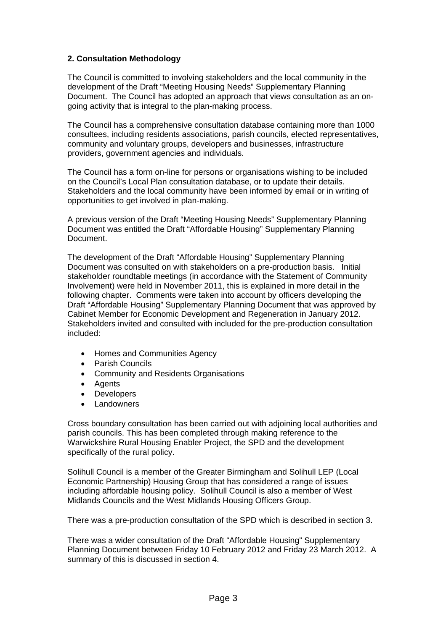# **2. Consultation Methodology**

The Council is committed to involving stakeholders and the local community in the development of the Draft "Meeting Housing Needs" Supplementary Planning Document. The Council has adopted an approach that views consultation as an ongoing activity that is integral to the plan-making process.

The Council has a comprehensive consultation database containing more than 1000 consultees, including residents associations, parish councils, elected representatives, community and voluntary groups, developers and businesses, infrastructure providers, government agencies and individuals.

The Council has a form on-line for persons or organisations wishing to be included on the Council's Local Plan consultation database, or to update their details. Stakeholders and the local community have been informed by email or in writing of opportunities to get involved in plan-making.

A previous version of the Draft "Meeting Housing Needs" Supplementary Planning Document was entitled the Draft "Affordable Housing" Supplementary Planning Document.

The development of the Draft "Affordable Housing" Supplementary Planning Document was consulted on with stakeholders on a pre-production basis. Initial stakeholder roundtable meetings (in accordance with the Statement of Community Involvement) were held in November 2011, this is explained in more detail in the following chapter. Comments were taken into account by officers developing the Draft "Affordable Housing" Supplementary Planning Document that was approved by Cabinet Member for Economic Development and Regeneration in January 2012. Stakeholders invited and consulted with included for the pre-production consultation included:

- Homes and Communities Agency
- Parish Councils
- Community and Residents Organisations
- Agents
- Developers
- Landowners

Cross boundary consultation has been carried out with adjoining local authorities and parish councils. This has been completed through making reference to the Warwickshire Rural Housing Enabler Project, the SPD and the development specifically of the rural policy.

Solihull Council is a member of the Greater Birmingham and Solihull LEP (Local Economic Partnership) Housing Group that has considered a range of issues including affordable housing policy. Solihull Council is also a member of West Midlands Councils and the West Midlands Housing Officers Group.

There was a pre-production consultation of the SPD which is described in section 3.

There was a wider consultation of the Draft "Affordable Housing" Supplementary Planning Document between Friday 10 February 2012 and Friday 23 March 2012. A summary of this is discussed in section 4.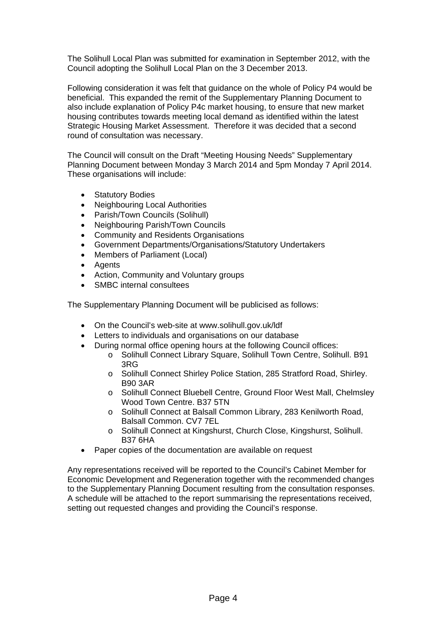The Solihull Local Plan was submitted for examination in September 2012, with the Council adopting the Solihull Local Plan on the 3 December 2013.

Following consideration it was felt that guidance on the whole of Policy P4 would be beneficial. This expanded the remit of the Supplementary Planning Document to also include explanation of Policy P4c market housing, to ensure that new market housing contributes towards meeting local demand as identified within the latest Strategic Housing Market Assessment. Therefore it was decided that a second round of consultation was necessary.

The Council will consult on the Draft "Meeting Housing Needs" Supplementary Planning Document between Monday 3 March 2014 and 5pm Monday 7 April 2014. These organisations will include:

- Statutory Bodies
- Neighbouring Local Authorities
- Parish/Town Councils (Solihull)
- Neighbouring Parish/Town Councils
- Community and Residents Organisations
- Government Departments/Organisations/Statutory Undertakers
- Members of Parliament (Local)
- Agents
- Action, Community and Voluntary groups
- SMBC internal consultees

The Supplementary Planning Document will be publicised as follows:

- On the Council's web-site at www.solihull.gov.uk/ldf
- Letters to individuals and organisations on our database
- During normal office opening hours at the following Council offices:
	- o Solihull Connect Library Square, Solihull Town Centre, Solihull. B91 3RG
	- o Solihull Connect Shirley Police Station, 285 Stratford Road, Shirley. B90 3AR
	- o Solihull Connect Bluebell Centre, Ground Floor West Mall, Chelmsley Wood Town Centre. B37 5TN
	- o Solihull Connect at Balsall Common Library, 283 Kenilworth Road, Balsall Common. CV7 7EL
	- o Solihull Connect at Kingshurst, Church Close, Kingshurst, Solihull. B37 6HA
- Paper copies of the documentation are available on request

Any representations received will be reported to the Council's Cabinet Member for Economic Development and Regeneration together with the recommended changes to the Supplementary Planning Document resulting from the consultation responses. A schedule will be attached to the report summarising the representations received, setting out requested changes and providing the Council's response.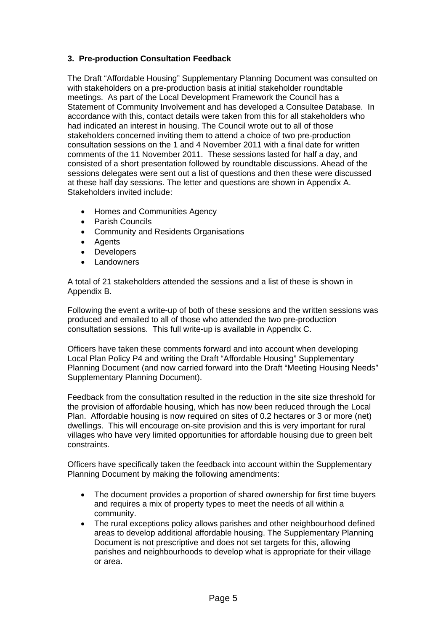# **3. Pre-production Consultation Feedback**

The Draft "Affordable Housing" Supplementary Planning Document was consulted on with stakeholders on a pre-production basis at initial stakeholder roundtable meetings. As part of the Local Development Framework the Council has a Statement of Community Involvement and has developed a Consultee Database. In accordance with this, contact details were taken from this for all stakeholders who had indicated an interest in housing. The Council wrote out to all of those stakeholders concerned inviting them to attend a choice of two pre-production consultation sessions on the 1 and 4 November 2011 with a final date for written comments of the 11 November 2011. These sessions lasted for half a day, and consisted of a short presentation followed by roundtable discussions. Ahead of the sessions delegates were sent out a list of questions and then these were discussed at these half day sessions. The letter and questions are shown in Appendix A. Stakeholders invited include:

- Homes and Communities Agency
- Parish Councils
- Community and Residents Organisations
- Agents
- Developers
- Landowners

A total of 21 stakeholders attended the sessions and a list of these is shown in Appendix B.

Following the event a write-up of both of these sessions and the written sessions was produced and emailed to all of those who attended the two pre-production consultation sessions. This full write-up is available in Appendix C.

Officers have taken these comments forward and into account when developing Local Plan Policy P4 and writing the Draft "Affordable Housing" Supplementary Planning Document (and now carried forward into the Draft "Meeting Housing Needs" Supplementary Planning Document).

Feedback from the consultation resulted in the reduction in the site size threshold for the provision of affordable housing, which has now been reduced through the Local Plan. Affordable housing is now required on sites of 0.2 hectares or 3 or more (net) dwellings. This will encourage on-site provision and this is very important for rural villages who have very limited opportunities for affordable housing due to green belt constraints.

Officers have specifically taken the feedback into account within the Supplementary Planning Document by making the following amendments:

- The document provides a proportion of shared ownership for first time buyers and requires a mix of property types to meet the needs of all within a community.
- The rural exceptions policy allows parishes and other neighbourhood defined areas to develop additional affordable housing. The Supplementary Planning Document is not prescriptive and does not set targets for this, allowing parishes and neighbourhoods to develop what is appropriate for their village or area.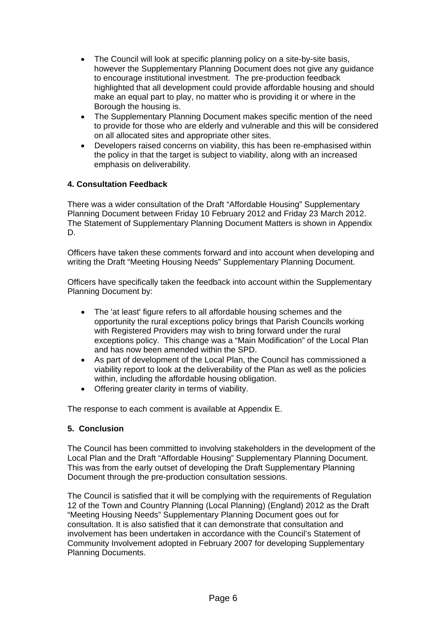- The Council will look at specific planning policy on a site-by-site basis, however the Supplementary Planning Document does not give any guidance to encourage institutional investment. The pre-production feedback highlighted that all development could provide affordable housing and should make an equal part to play, no matter who is providing it or where in the Borough the housing is.
- The Supplementary Planning Document makes specific mention of the need to provide for those who are elderly and vulnerable and this will be considered on all allocated sites and appropriate other sites.
- Developers raised concerns on viability, this has been re-emphasised within the policy in that the target is subject to viability, along with an increased emphasis on deliverability.

# **4. Consultation Feedback**

There was a wider consultation of the Draft "Affordable Housing" Supplementary Planning Document between Friday 10 February 2012 and Friday 23 March 2012. The Statement of Supplementary Planning Document Matters is shown in Appendix D.

Officers have taken these comments forward and into account when developing and writing the Draft "Meeting Housing Needs" Supplementary Planning Document.

Officers have specifically taken the feedback into account within the Supplementary Planning Document by:

- The 'at least' figure refers to all affordable housing schemes and the opportunity the rural exceptions policy brings that Parish Councils working with Registered Providers may wish to bring forward under the rural exceptions policy. This change was a "Main Modification" of the Local Plan and has now been amended within the SPD.
- As part of development of the Local Plan, the Council has commissioned a viability report to look at the deliverability of the Plan as well as the policies within, including the affordable housing obligation.
- Offering greater clarity in terms of viability.

The response to each comment is available at Appendix E.

## **5. Conclusion**

The Council has been committed to involving stakeholders in the development of the Local Plan and the Draft "Affordable Housing" Supplementary Planning Document. This was from the early outset of developing the Draft Supplementary Planning Document through the pre-production consultation sessions.

The Council is satisfied that it will be complying with the requirements of Regulation 12 of the Town and Country Planning (Local Planning) (England) 2012 as the Draft "Meeting Housing Needs" Supplementary Planning Document goes out for consultation. It is also satisfied that it can demonstrate that consultation and involvement has been undertaken in accordance with the Council's Statement of Community Involvement adopted in February 2007 for developing Supplementary Planning Documents.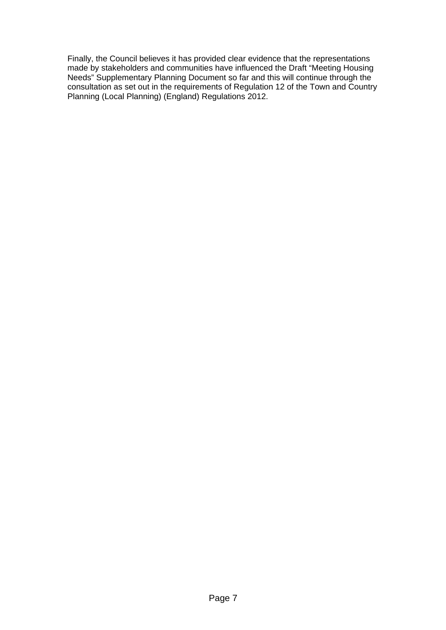Finally, the Council believes it has provided clear evidence that the representations made by stakeholders and communities have influenced the Draft "Meeting Housing Needs" Supplementary Planning Document so far and this will continue through the consultation as set out in the requirements of Regulation 12 of the Town and Country Planning (Local Planning) (England) Regulations 2012.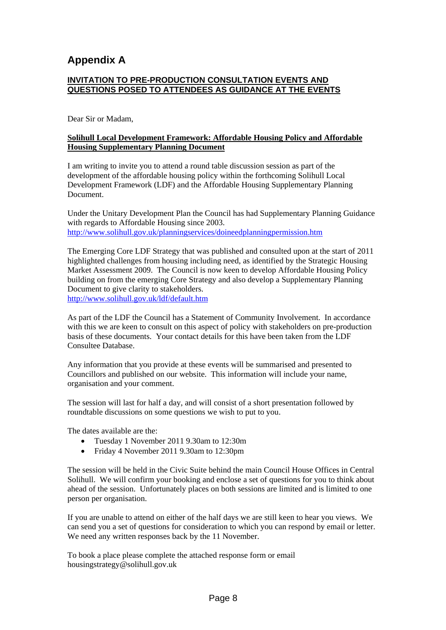# **Appendix A**

# **INVITATION TO PRE-PRODUCTION CONSULTATION EVENTS AND QUESTIONS POSED TO ATTENDEES AS GUIDANCE AT THE EVENTS**

Dear Sir or Madam,

## **Solihull Local Development Framework: Affordable Housing Policy and Affordable Housing Supplementary Planning Document**

I am writing to invite you to attend a round table discussion session as part of the development of the affordable housing policy within the forthcoming Solihull Local Development Framework (LDF) and the Affordable Housing Supplementary Planning Document.

Under the Unitary Development Plan the Council has had Supplementary Planning Guidance with regards to Affordable Housing since 2003. http://www.solihull.gov.uk/planningservices/doineedplanningpermission.htm

The Emerging Core LDF Strategy that was published and consulted upon at the start of 2011 highlighted challenges from housing including need, as identified by the Strategic Housing Market Assessment 2009. The Council is now keen to develop Affordable Housing Policy building on from the emerging Core Strategy and also develop a Supplementary Planning Document to give clarity to stakeholders. http://www.solihull.gov.uk/ldf/default.htm

As part of the LDF the Council has a Statement of Community Involvement. In accordance with this we are keen to consult on this aspect of policy with stakeholders on pre-production basis of these documents. Your contact details for this have been taken from the LDF Consultee Database.

Any information that you provide at these events will be summarised and presented to Councillors and published on our website. This information will include your name, organisation and your comment.

The session will last for half a day, and will consist of a short presentation followed by roundtable discussions on some questions we wish to put to you.

The dates available are the:

- Tuesday 1 November 2011 9.30am to 12:30m
- Friday 4 November 2011 9.30am to 12:30pm

The session will be held in the Civic Suite behind the main Council House Offices in Central Solihull. We will confirm your booking and enclose a set of questions for you to think about ahead of the session. Unfortunately places on both sessions are limited and is limited to one person per organisation.

If you are unable to attend on either of the half days we are still keen to hear you views. We can send you a set of questions for consideration to which you can respond by email or letter. We need any written responses back by the 11 November.

To book a place please complete the attached response form or email housingstrategy@solihull.gov.uk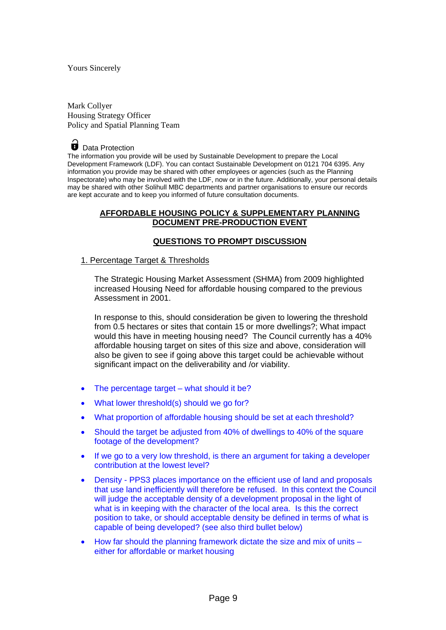#### Yours Sincerely

Mark Collyer Housing Strategy Officer Policy and Spatial Planning Team



Data Protection

The information you provide will be used by Sustainable Development to prepare the Local Development Framework (LDF). You can contact Sustainable Development on 0121 704 6395. Any information you provide may be shared with other employees or agencies (such as the Planning Inspectorate) who may be involved with the LDF, now or in the future. Additionally, your personal details may be shared with other Solihull MBC departments and partner organisations to ensure our records are kept accurate and to keep you informed of future consultation documents.

## **AFFORDABLE HOUSING POLICY & SUPPLEMENTARY PLANNING DOCUMENT PRE-PRODUCTION EVENT**

### **QUESTIONS TO PROMPT DISCUSSION**

#### 1. Percentage Target & Thresholds

The Strategic Housing Market Assessment (SHMA) from 2009 highlighted increased Housing Need for affordable housing compared to the previous Assessment in 2001.

In response to this, should consideration be given to lowering the threshold from 0.5 hectares or sites that contain 15 or more dwellings?; What impact would this have in meeting housing need? The Council currently has a 40% affordable housing target on sites of this size and above, consideration will also be given to see if going above this target could be achievable without significant impact on the deliverability and /or viability.

- The percentage target what should it be?
- What lower threshold(s) should we go for?
- What proportion of affordable housing should be set at each threshold?
- Should the target be adjusted from 40% of dwellings to 40% of the square footage of the development?
- If we go to a very low threshold, is there an argument for taking a developer contribution at the lowest level?
- Density PPS3 places importance on the efficient use of land and proposals that use land inefficiently will therefore be refused. In this context the Council will judge the acceptable density of a development proposal in the light of what is in keeping with the character of the local area. Is this the correct position to take, or should acceptable density be defined in terms of what is capable of being developed? (see also third bullet below)
- How far should the planning framework dictate the size and mix of units either for affordable or market housing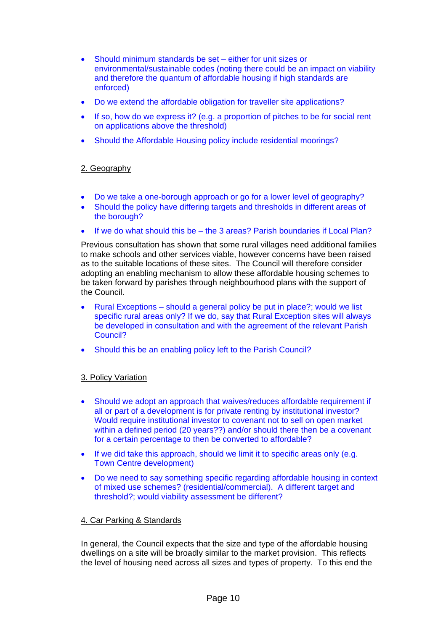- Should minimum standards be set either for unit sizes or environmental/sustainable codes (noting there could be an impact on viability and therefore the quantum of affordable housing if high standards are enforced)
- Do we extend the affordable obligation for traveller site applications?
- If so, how do we express it? (e.g. a proportion of pitches to be for social rent on applications above the threshold)
- Should the Affordable Housing policy include residential moorings?

# 2. Geography

- Do we take a one-borough approach or go for a lower level of geography?
- Should the policy have differing targets and thresholds in different areas of the borough?
- If we do what should this be the 3 areas? Parish boundaries if Local Plan?

Previous consultation has shown that some rural villages need additional families to make schools and other services viable, however concerns have been raised as to the suitable locations of these sites. The Council will therefore consider adopting an enabling mechanism to allow these affordable housing schemes to be taken forward by parishes through neighbourhood plans with the support of the Council.

- Rural Exceptions should a general policy be put in place?; would we list specific rural areas only? If we do, say that Rural Exception sites will always be developed in consultation and with the agreement of the relevant Parish Council?
- Should this be an enabling policy left to the Parish Council?

## 3. Policy Variation

- Should we adopt an approach that waives/reduces affordable requirement if all or part of a development is for private renting by institutional investor? Would require institutional investor to covenant not to sell on open market within a defined period (20 years??) and/or should there then be a covenant for a certain percentage to then be converted to affordable?
- If we did take this approach, should we limit it to specific areas only (e.g. Town Centre development)
- Do we need to say something specific regarding affordable housing in context of mixed use schemes? (residential/commercial). A different target and threshold?; would viability assessment be different?

## 4. Car Parking & Standards

In general, the Council expects that the size and type of the affordable housing dwellings on a site will be broadly similar to the market provision. This reflects the level of housing need across all sizes and types of property. To this end the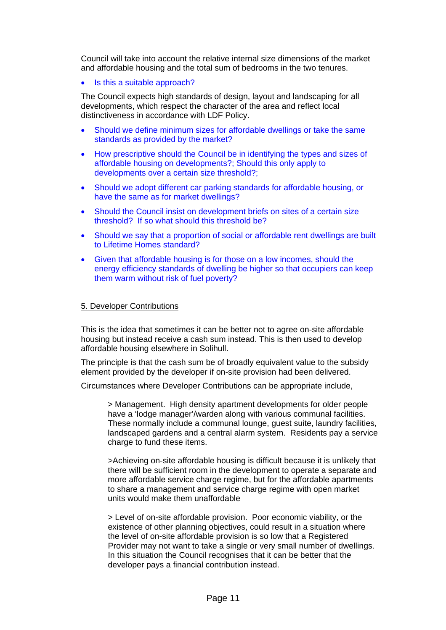Council will take into account the relative internal size dimensions of the market and affordable housing and the total sum of bedrooms in the two tenures.

Is this a suitable approach?

The Council expects high standards of design, layout and landscaping for all developments, which respect the character of the area and reflect local distinctiveness in accordance with LDF Policy.

- Should we define minimum sizes for affordable dwellings or take the same standards as provided by the market?
- How prescriptive should the Council be in identifying the types and sizes of affordable housing on developments?; Should this only apply to developments over a certain size threshold?;
- Should we adopt different car parking standards for affordable housing, or have the same as for market dwellings?
- Should the Council insist on development briefs on sites of a certain size threshold? If so what should this threshold be?
- Should we say that a proportion of social or affordable rent dwellings are built to Lifetime Homes standard?
- Given that affordable housing is for those on a low incomes, should the energy efficiency standards of dwelling be higher so that occupiers can keep them warm without risk of fuel poverty?

### 5. Developer Contributions

This is the idea that sometimes it can be better not to agree on-site affordable housing but instead receive a cash sum instead. This is then used to develop affordable housing elsewhere in Solihull.

The principle is that the cash sum be of broadly equivalent value to the subsidy element provided by the developer if on-site provision had been delivered.

Circumstances where Developer Contributions can be appropriate include,

> Management. High density apartment developments for older people have a 'lodge manager'/warden along with various communal facilities. These normally include a communal lounge, guest suite, laundry facilities, landscaped gardens and a central alarm system. Residents pay a service charge to fund these items.

>Achieving on-site affordable housing is difficult because it is unlikely that there will be sufficient room in the development to operate a separate and more affordable service charge regime, but for the affordable apartments to share a management and service charge regime with open market units would make them unaffordable

> Level of on-site affordable provision. Poor economic viability, or the existence of other planning objectives, could result in a situation where the level of on-site affordable provision is so low that a Registered Provider may not want to take a single or very small number of dwellings. In this situation the Council recognises that it can be better that the developer pays a financial contribution instead.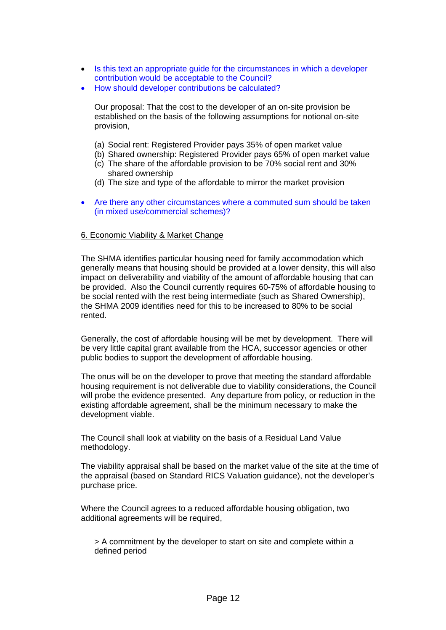- Is this text an appropriate guide for the circumstances in which a developer contribution would be acceptable to the Council?
- How should developer contributions be calculated?

Our proposal: That the cost to the developer of an on-site provision be established on the basis of the following assumptions for notional on-site provision,

- (a) Social rent: Registered Provider pays 35% of open market value
- (b) Shared ownership: Registered Provider pays 65% of open market value
- (c) The share of the affordable provision to be 70% social rent and 30% shared ownership
- (d) The size and type of the affordable to mirror the market provision
- Are there any other circumstances where a commuted sum should be taken (in mixed use/commercial schemes)?

### 6. Economic Viability & Market Change

The SHMA identifies particular housing need for family accommodation which generally means that housing should be provided at a lower density, this will also impact on deliverability and viability of the amount of affordable housing that can be provided. Also the Council currently requires 60-75% of affordable housing to be social rented with the rest being intermediate (such as Shared Ownership), the SHMA 2009 identifies need for this to be increased to 80% to be social rented.

Generally, the cost of affordable housing will be met by development. There will be very little capital grant available from the HCA, successor agencies or other public bodies to support the development of affordable housing.

The onus will be on the developer to prove that meeting the standard affordable housing requirement is not deliverable due to viability considerations, the Council will probe the evidence presented. Any departure from policy, or reduction in the existing affordable agreement, shall be the minimum necessary to make the development viable.

The Council shall look at viability on the basis of a Residual Land Value methodology.

The viability appraisal shall be based on the market value of the site at the time of the appraisal (based on Standard RICS Valuation guidance), not the developer's purchase price.

Where the Council agrees to a reduced affordable housing obligation, two additional agreements will be required,

> A commitment by the developer to start on site and complete within a defined period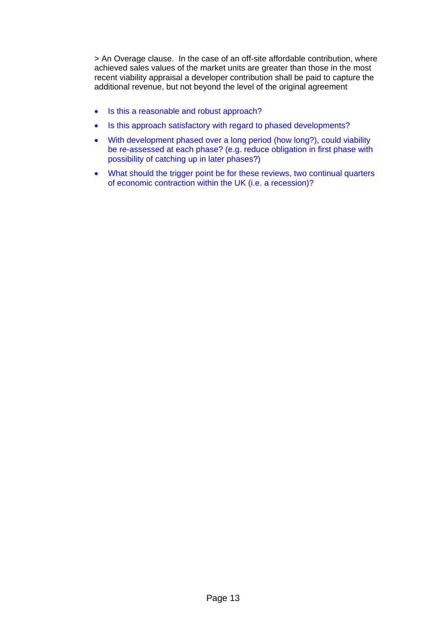> An Overage clause. In the case of an off-site affordable contribution, where achieved sales values of the market units are greater than those in the most recent viability appraisal a developer contribution shall be paid to capture the additional revenue, but not beyond the level of the original agreement

- Is this a reasonable and robust approach?
- Is this approach satisfactory with regard to phased developments?
- With development phased over a long period (how long?), could viability be re-assessed at each phase? (e.g. reduce obligation in first phase with possibility of catching up in later phases?)
- What should the trigger point be for these reviews, two continual quarters of economic contraction within the UK (i.e. a recession)?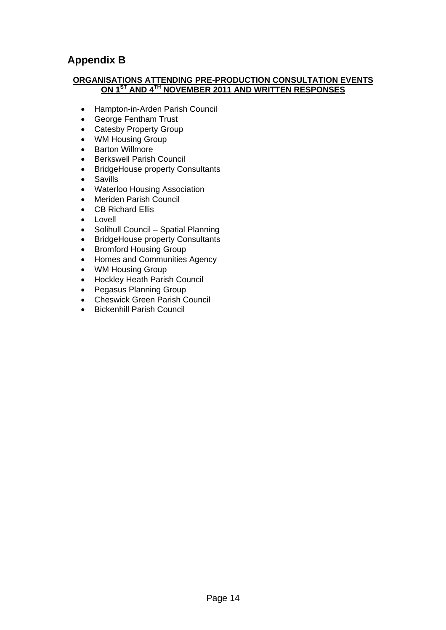# **Appendix B**

## **ORGANISATIONS ATTENDING PRE-PRODUCTION CONSULTATION EVENTS ON 1ST AND 4TH NOVEMBER 2011 AND WRITTEN RESPONSES**

- Hampton-in-Arden Parish Council
- George Fentham Trust
- Catesby Property Group
- WM Housing Group
- Barton Willmore
- **•** Berkswell Parish Council
- BridgeHouse property Consultants
- Savills
- Waterloo Housing Association
- Meriden Parish Council
- CB Richard Ellis
- $\bullet$  Lovell
- Solihull Council Spatial Planning
- BridgeHouse property Consultants
- Bromford Housing Group
- Homes and Communities Agency
- WM Housing Group
- Hockley Heath Parish Council
- Pegasus Planning Group
- Cheswick Green Parish Council
- **•** Bickenhill Parish Council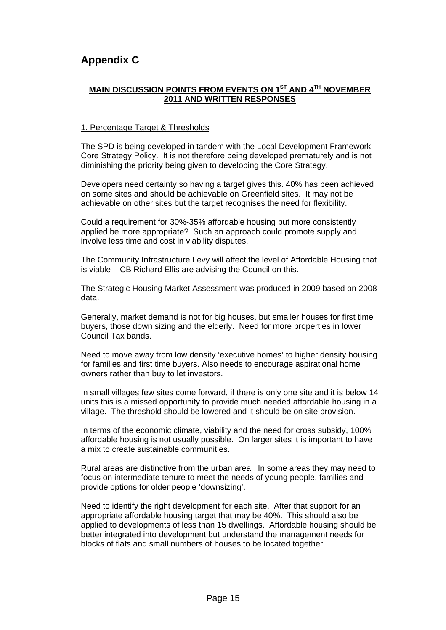# **Appendix C**

# **MAIN DISCUSSION POINTS FROM EVENTS ON 1ST AND 4TH NOVEMBER 2011 AND WRITTEN RESPONSES**

## 1. Percentage Target & Thresholds

The SPD is being developed in tandem with the Local Development Framework Core Strategy Policy. It is not therefore being developed prematurely and is not diminishing the priority being given to developing the Core Strategy.

Developers need certainty so having a target gives this. 40% has been achieved on some sites and should be achievable on Greenfield sites. It may not be achievable on other sites but the target recognises the need for flexibility.

Could a requirement for 30%-35% affordable housing but more consistently applied be more appropriate? Such an approach could promote supply and involve less time and cost in viability disputes.

The Community Infrastructure Levy will affect the level of Affordable Housing that is viable – CB Richard Ellis are advising the Council on this.

The Strategic Housing Market Assessment was produced in 2009 based on 2008 data.

Generally, market demand is not for big houses, but smaller houses for first time buyers, those down sizing and the elderly. Need for more properties in lower Council Tax bands.

Need to move away from low density 'executive homes' to higher density housing for families and first time buyers. Also needs to encourage aspirational home owners rather than buy to let investors.

In small villages few sites come forward, if there is only one site and it is below 14 units this is a missed opportunity to provide much needed affordable housing in a village. The threshold should be lowered and it should be on site provision.

In terms of the economic climate, viability and the need for cross subsidy, 100% affordable housing is not usually possible. On larger sites it is important to have a mix to create sustainable communities.

Rural areas are distinctive from the urban area. In some areas they may need to focus on intermediate tenure to meet the needs of young people, families and provide options for older people 'downsizing'.

Need to identify the right development for each site. After that support for an appropriate affordable housing target that may be 40%. This should also be applied to developments of less than 15 dwellings. Affordable housing should be better integrated into development but understand the management needs for blocks of flats and small numbers of houses to be located together.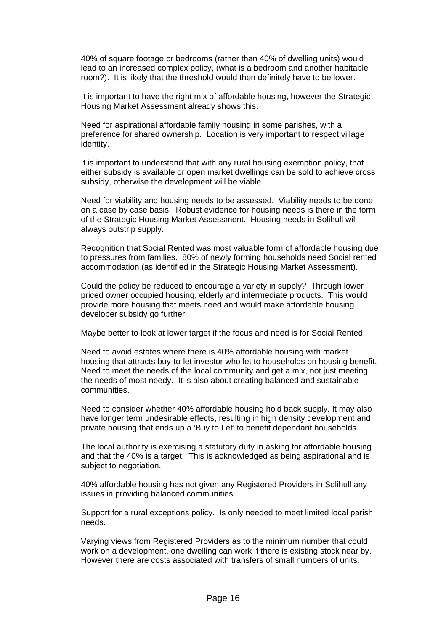40% of square footage or bedrooms (rather than 40% of dwelling units) would lead to an increased complex policy, (what is a bedroom and another habitable room?). It is likely that the threshold would then definitely have to be lower.

It is important to have the right mix of affordable housing, however the Strategic Housing Market Assessment already shows this.

Need for aspirational affordable family housing in some parishes, with a preference for shared ownership. Location is very important to respect village identity.

It is important to understand that with any rural housing exemption policy, that either subsidy is available or open market dwellings can be sold to achieve cross subsidy, otherwise the development will be viable.

Need for viability and housing needs to be assessed. Viability needs to be done on a case by case basis. Robust evidence for housing needs is there in the form of the Strategic Housing Market Assessment. Housing needs in Solihull will always outstrip supply.

Recognition that Social Rented was most valuable form of affordable housing due to pressures from families. 80% of newly forming households need Social rented accommodation (as identified in the Strategic Housing Market Assessment).

Could the policy be reduced to encourage a variety in supply? Through lower priced owner occupied housing, elderly and intermediate products. This would provide more housing that meets need and would make affordable housing developer subsidy go further.

Maybe better to look at lower target if the focus and need is for Social Rented.

Need to avoid estates where there is 40% affordable housing with market housing that attracts buy-to-let investor who let to households on housing benefit. Need to meet the needs of the local community and get a mix, not just meeting the needs of most needy. It is also about creating balanced and sustainable communities.

Need to consider whether 40% affordable housing hold back supply. It may also have longer term undesirable effects, resulting in high density development and private housing that ends up a 'Buy to Let' to benefit dependant households.

The local authority is exercising a statutory duty in asking for affordable housing and that the 40% is a target. This is acknowledged as being aspirational and is subject to negotiation.

40% affordable housing has not given any Registered Providers in Solihull any issues in providing balanced communities

Support for a rural exceptions policy. Is only needed to meet limited local parish needs.

Varying views from Registered Providers as to the minimum number that could work on a development, one dwelling can work if there is existing stock near by. However there are costs associated with transfers of small numbers of units.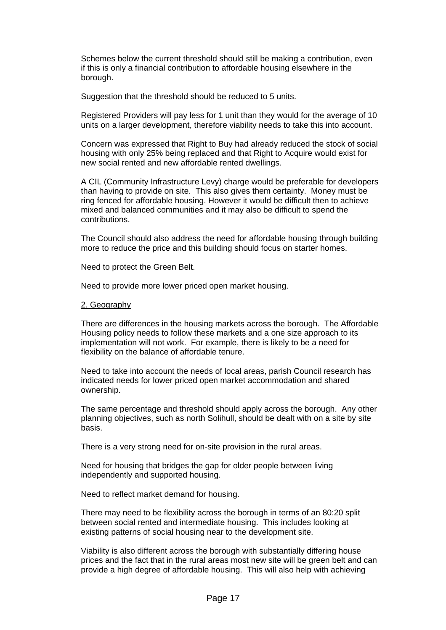Schemes below the current threshold should still be making a contribution, even if this is only a financial contribution to affordable housing elsewhere in the borough.

Suggestion that the threshold should be reduced to 5 units.

Registered Providers will pay less for 1 unit than they would for the average of 10 units on a larger development, therefore viability needs to take this into account.

Concern was expressed that Right to Buy had already reduced the stock of social housing with only 25% being replaced and that Right to Acquire would exist for new social rented and new affordable rented dwellings.

A CIL (Community Infrastructure Levy) charge would be preferable for developers than having to provide on site. This also gives them certainty. Money must be ring fenced for affordable housing. However it would be difficult then to achieve mixed and balanced communities and it may also be difficult to spend the contributions.

The Council should also address the need for affordable housing through building more to reduce the price and this building should focus on starter homes.

Need to protect the Green Belt.

Need to provide more lower priced open market housing.

### 2. Geography

There are differences in the housing markets across the borough. The Affordable Housing policy needs to follow these markets and a one size approach to its implementation will not work. For example, there is likely to be a need for flexibility on the balance of affordable tenure.

Need to take into account the needs of local areas, parish Council research has indicated needs for lower priced open market accommodation and shared ownership.

The same percentage and threshold should apply across the borough. Any other planning objectives, such as north Solihull, should be dealt with on a site by site basis.

There is a very strong need for on-site provision in the rural areas.

Need for housing that bridges the gap for older people between living independently and supported housing.

Need to reflect market demand for housing.

There may need to be flexibility across the borough in terms of an 80:20 split between social rented and intermediate housing. This includes looking at existing patterns of social housing near to the development site.

Viability is also different across the borough with substantially differing house prices and the fact that in the rural areas most new site will be green belt and can provide a high degree of affordable housing. This will also help with achieving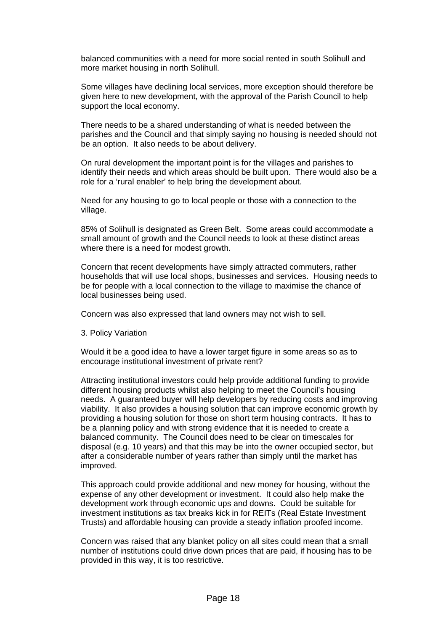balanced communities with a need for more social rented in south Solihull and more market housing in north Solihull.

Some villages have declining local services, more exception should therefore be given here to new development, with the approval of the Parish Council to help support the local economy.

There needs to be a shared understanding of what is needed between the parishes and the Council and that simply saying no housing is needed should not be an option. It also needs to be about delivery.

On rural development the important point is for the villages and parishes to identify their needs and which areas should be built upon. There would also be a role for a 'rural enabler' to help bring the development about.

Need for any housing to go to local people or those with a connection to the village.

85% of Solihull is designated as Green Belt. Some areas could accommodate a small amount of growth and the Council needs to look at these distinct areas where there is a need for modest growth.

Concern that recent developments have simply attracted commuters, rather households that will use local shops, businesses and services. Housing needs to be for people with a local connection to the village to maximise the chance of local businesses being used.

Concern was also expressed that land owners may not wish to sell.

#### 3. Policy Variation

Would it be a good idea to have a lower target figure in some areas so as to encourage institutional investment of private rent?

Attracting institutional investors could help provide additional funding to provide different housing products whilst also helping to meet the Council's housing needs. A guaranteed buyer will help developers by reducing costs and improving viability. It also provides a housing solution that can improve economic growth by providing a housing solution for those on short term housing contracts. It has to be a planning policy and with strong evidence that it is needed to create a balanced community. The Council does need to be clear on timescales for disposal (e.g. 10 years) and that this may be into the owner occupied sector, but after a considerable number of years rather than simply until the market has improved.

This approach could provide additional and new money for housing, without the expense of any other development or investment. It could also help make the development work through economic ups and downs. Could be suitable for investment institutions as tax breaks kick in for REITs (Real Estate Investment Trusts) and affordable housing can provide a steady inflation proofed income.

Concern was raised that any blanket policy on all sites could mean that a small number of institutions could drive down prices that are paid, if housing has to be provided in this way, it is too restrictive.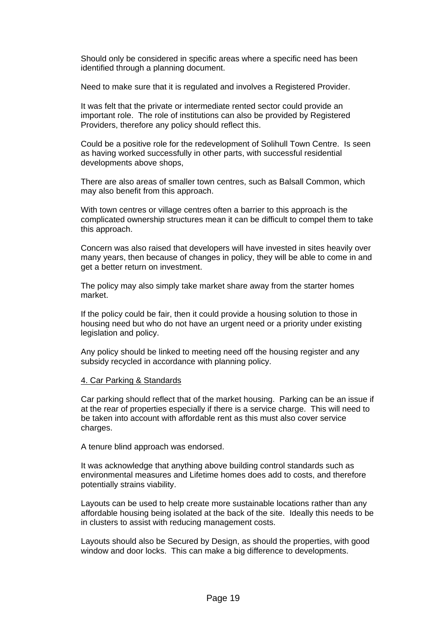Should only be considered in specific areas where a specific need has been identified through a planning document.

Need to make sure that it is regulated and involves a Registered Provider.

It was felt that the private or intermediate rented sector could provide an important role. The role of institutions can also be provided by Registered Providers, therefore any policy should reflect this.

Could be a positive role for the redevelopment of Solihull Town Centre. Is seen as having worked successfully in other parts, with successful residential developments above shops,

There are also areas of smaller town centres, such as Balsall Common, which may also benefit from this approach.

With town centres or village centres often a barrier to this approach is the complicated ownership structures mean it can be difficult to compel them to take this approach.

Concern was also raised that developers will have invested in sites heavily over many years, then because of changes in policy, they will be able to come in and get a better return on investment.

The policy may also simply take market share away from the starter homes market.

If the policy could be fair, then it could provide a housing solution to those in housing need but who do not have an urgent need or a priority under existing legislation and policy.

Any policy should be linked to meeting need off the housing register and any subsidy recycled in accordance with planning policy.

#### 4. Car Parking & Standards

Car parking should reflect that of the market housing. Parking can be an issue if at the rear of properties especially if there is a service charge. This will need to be taken into account with affordable rent as this must also cover service charges.

A tenure blind approach was endorsed.

It was acknowledge that anything above building control standards such as environmental measures and Lifetime homes does add to costs, and therefore potentially strains viability.

Layouts can be used to help create more sustainable locations rather than any affordable housing being isolated at the back of the site. Ideally this needs to be in clusters to assist with reducing management costs.

Layouts should also be Secured by Design, as should the properties, with good window and door locks. This can make a big difference to developments.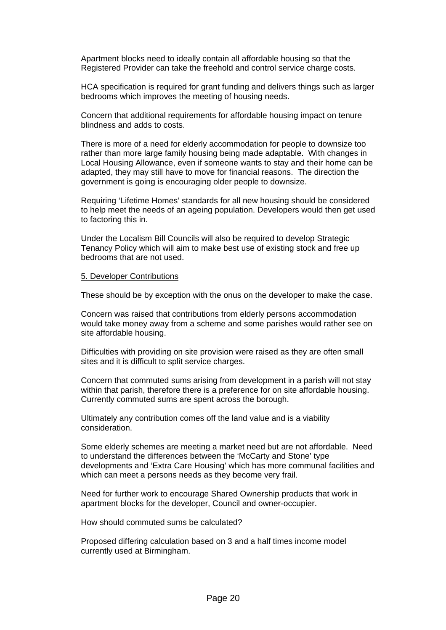Apartment blocks need to ideally contain all affordable housing so that the Registered Provider can take the freehold and control service charge costs.

HCA specification is required for grant funding and delivers things such as larger bedrooms which improves the meeting of housing needs.

Concern that additional requirements for affordable housing impact on tenure blindness and adds to costs.

There is more of a need for elderly accommodation for people to downsize too rather than more large family housing being made adaptable. With changes in Local Housing Allowance, even if someone wants to stay and their home can be adapted, they may still have to move for financial reasons. The direction the government is going is encouraging older people to downsize.

Requiring 'Lifetime Homes' standards for all new housing should be considered to help meet the needs of an ageing population. Developers would then get used to factoring this in.

Under the Localism Bill Councils will also be required to develop Strategic Tenancy Policy which will aim to make best use of existing stock and free up bedrooms that are not used.

#### 5. Developer Contributions

These should be by exception with the onus on the developer to make the case.

Concern was raised that contributions from elderly persons accommodation would take money away from a scheme and some parishes would rather see on site affordable housing.

Difficulties with providing on site provision were raised as they are often small sites and it is difficult to split service charges.

Concern that commuted sums arising from development in a parish will not stay within that parish, therefore there is a preference for on site affordable housing. Currently commuted sums are spent across the borough.

Ultimately any contribution comes off the land value and is a viability consideration.

Some elderly schemes are meeting a market need but are not affordable. Need to understand the differences between the 'McCarty and Stone' type developments and 'Extra Care Housing' which has more communal facilities and which can meet a persons needs as they become very frail.

Need for further work to encourage Shared Ownership products that work in apartment blocks for the developer, Council and owner-occupier.

How should commuted sums be calculated?

Proposed differing calculation based on 3 and a half times income model currently used at Birmingham.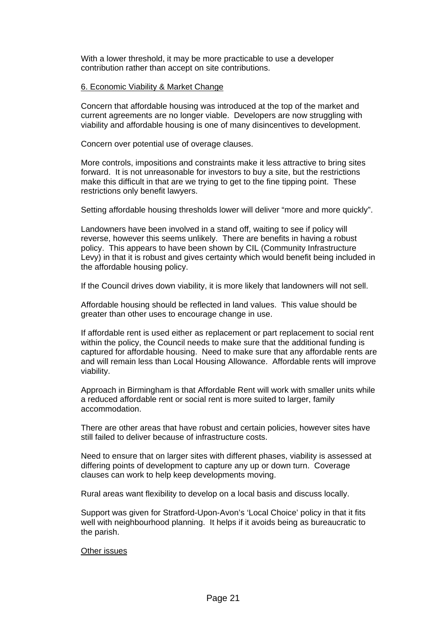With a lower threshold, it may be more practicable to use a developer contribution rather than accept on site contributions.

#### 6. Economic Viability & Market Change

Concern that affordable housing was introduced at the top of the market and current agreements are no longer viable. Developers are now struggling with viability and affordable housing is one of many disincentives to development.

Concern over potential use of overage clauses.

More controls, impositions and constraints make it less attractive to bring sites forward. It is not unreasonable for investors to buy a site, but the restrictions make this difficult in that are we trying to get to the fine tipping point. These restrictions only benefit lawyers.

Setting affordable housing thresholds lower will deliver "more and more quickly".

Landowners have been involved in a stand off, waiting to see if policy will reverse, however this seems unlikely. There are benefits in having a robust policy. This appears to have been shown by CIL (Community Infrastructure Levy) in that it is robust and gives certainty which would benefit being included in the affordable housing policy.

If the Council drives down viability, it is more likely that landowners will not sell.

Affordable housing should be reflected in land values. This value should be greater than other uses to encourage change in use.

If affordable rent is used either as replacement or part replacement to social rent within the policy, the Council needs to make sure that the additional funding is captured for affordable housing. Need to make sure that any affordable rents are and will remain less than Local Housing Allowance. Affordable rents will improve viability.

Approach in Birmingham is that Affordable Rent will work with smaller units while a reduced affordable rent or social rent is more suited to larger, family accommodation.

There are other areas that have robust and certain policies, however sites have still failed to deliver because of infrastructure costs.

Need to ensure that on larger sites with different phases, viability is assessed at differing points of development to capture any up or down turn. Coverage clauses can work to help keep developments moving.

Rural areas want flexibility to develop on a local basis and discuss locally.

Support was given for Stratford-Upon-Avon's 'Local Choice' policy in that it fits well with neighbourhood planning. It helps if it avoids being as bureaucratic to the parish.

#### Other issues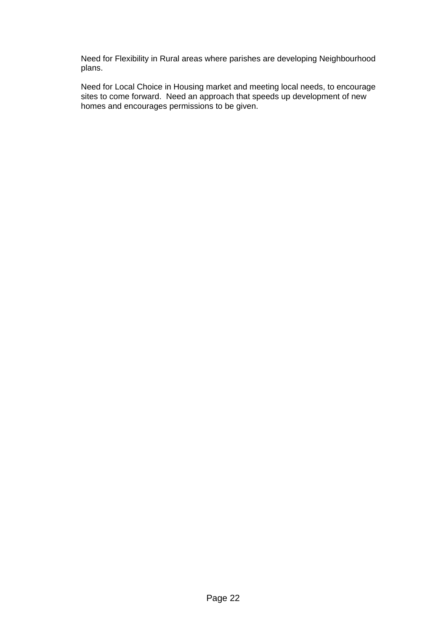Need for Flexibility in Rural areas where parishes are developing Neighbourhood plans.

Need for Local Choice in Housing market and meeting local needs, to encourage sites to come forward. Need an approach that speeds up development of new homes and encourages permissions to be given.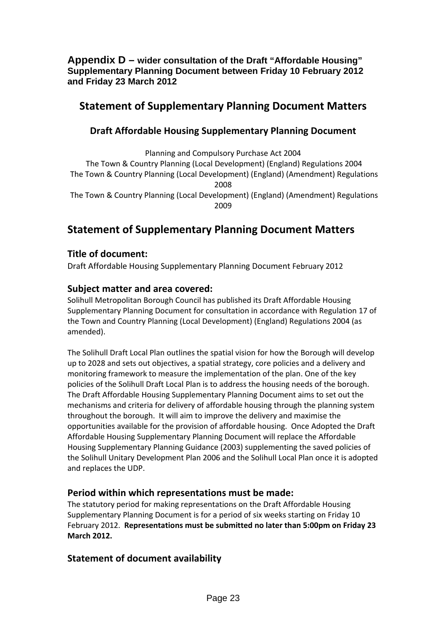**Appendix D – wider consultation of the Draft "Affordable Housing" Supplementary Planning Document between Friday 10 February 2012 and Friday 23 March 2012**

# **Statement of Supplementary Planning Document Matters**

# **Draft Affordable Housing Supplementary Planning Document**

Planning and Compulsory Purchase Act 2004 The Town & Country Planning (Local Development) (England) Regulations 2004 The Town & Country Planning (Local Development) (England) (Amendment) Regulations 2008 The Town & Country Planning (Local Development) (England) (Amendment) Regulations 2009

# **Statement of Supplementary Planning Document Matters**

# **Title of document:**

Draft Affordable Housing Supplementary Planning Document February 2012

# **Subject matter and area covered:**

Solihull Metropolitan Borough Council has published its Draft Affordable Housing Supplementary Planning Document for consultation in accordance with Regulation 17 of the Town and Country Planning (Local Development) (England) Regulations 2004 (as amended).

The Solihull Draft Local Plan outlines the spatial vision for how the Borough will develop up to 2028 and sets out objectives, a spatial strategy, core policies and a delivery and monitoring framework to measure the implementation of the plan. One of the key policies of the Solihull Draft Local Plan is to address the housing needs of the borough. The Draft Affordable Housing Supplementary Planning Document aims to set out the mechanisms and criteria for delivery of affordable housing through the planning system throughout the borough. It will aim to improve the delivery and maximise the opportunities available for the provision of affordable housing. Once Adopted the Draft Affordable Housing Supplementary Planning Document will replace the Affordable Housing Supplementary Planning Guidance (2003) supplementing the saved policies of the Solihull Unitary Development Plan 2006 and the Solihull Local Plan once it is adopted and replaces the UDP.

# **Period within which representations must be made:**

The statutory period for making representations on the Draft Affordable Housing Supplementary Planning Document is for a period of six weeks starting on Friday 10 February 2012. **Representations must be submitted no later than 5:00pm on Friday 23 March 2012.** 

# **Statement of document availability**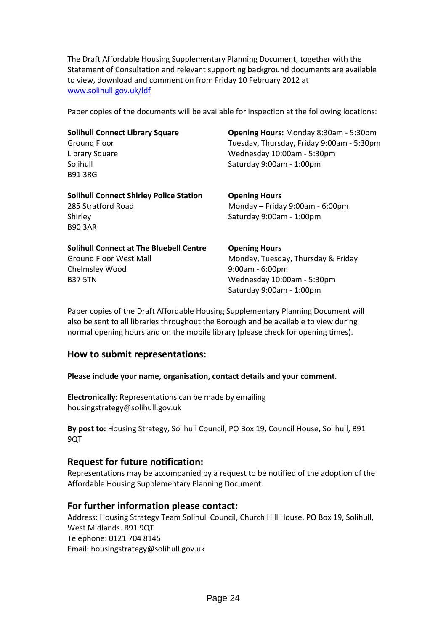The Draft Affordable Housing Supplementary Planning Document, together with the Statement of Consultation and relevant supporting background documents are available to view, download and comment on from Friday 10 February 2012 at www.solihull.gov.uk/ldf

Paper copies of the documents will be available for inspection at the following locations:

| <b>Solihull Connect Library Square</b>         | <b>Opening Hours: Monday 8:30am - 5:30pm</b> |
|------------------------------------------------|----------------------------------------------|
| <b>Ground Floor</b>                            | Tuesday, Thursday, Friday 9:00am - 5:30pm    |
| Library Square                                 | Wednesday 10:00am - 5:30pm                   |
| Solihull                                       | Saturday 9:00am - 1:00pm                     |
| <b>B913RG</b>                                  |                                              |
| <b>Solihull Connect Shirley Police Station</b> | <b>Opening Hours</b>                         |
| 285 Stratford Road                             | Monday - Friday 9:00am - 6:00pm              |
| Shirley                                        | Saturday 9:00am - 1:00pm                     |
| <b>B90 3AR</b>                                 |                                              |
| <b>Solihull Connect at The Bluebell Centre</b> | <b>Opening Hours</b>                         |
| <b>Ground Floor West Mall</b>                  | Monday, Tuesday, Thursday & Friday           |
| Chelmsley Wood                                 | $9:00am - 6:00pm$                            |
| <b>B37 5TN</b>                                 | Wednesday 10:00am - 5:30pm                   |

Paper copies of the Draft Affordable Housing Supplementary Planning Document will also be sent to all libraries throughout the Borough and be available to view during normal opening hours and on the mobile library (please check for opening times).

Saturday 9:00am ‐ 1:00pm

# **How to submit representations:**

**Please include your name, organisation, contact details and your comment**.

**Electronically:** Representations can be made by emailing housingstrategy@solihull.gov.uk

**By post to:** Housing Strategy, Solihull Council, PO Box 19, Council House, Solihull, B91 9QT

## **Request for future notification:**

Representations may be accompanied by a request to be notified of the adoption of the Affordable Housing Supplementary Planning Document.

# **For further information please contact:**

Address: Housing Strategy Team Solihull Council, Church Hill House, PO Box 19, Solihull, West Midlands. B91 9QT Telephone: 0121 704 8145 Email: housingstrategy@solihull.gov.uk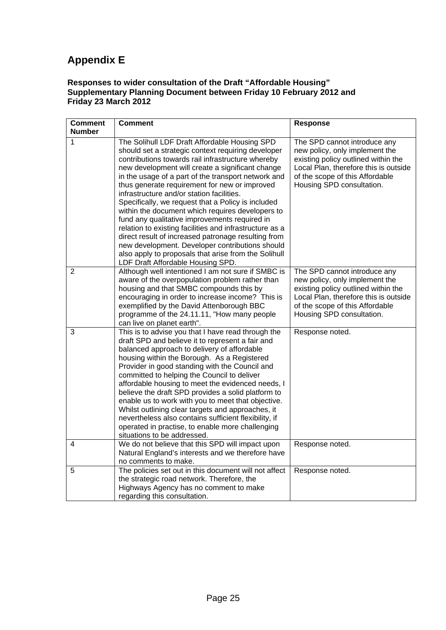# **Appendix E**

## **Responses to wider consultation of the Draft "Affordable Housing" Supplementary Planning Document between Friday 10 February 2012 and Friday 23 March 2012**

| <b>Comment</b> | <b>Comment</b>                                                                                                                                                                                                                                                                                                                                                                                                                                                                                                                                                                                                                                                                                                                                                                                 | <b>Response</b>                                                                                                                                                                                                |
|----------------|------------------------------------------------------------------------------------------------------------------------------------------------------------------------------------------------------------------------------------------------------------------------------------------------------------------------------------------------------------------------------------------------------------------------------------------------------------------------------------------------------------------------------------------------------------------------------------------------------------------------------------------------------------------------------------------------------------------------------------------------------------------------------------------------|----------------------------------------------------------------------------------------------------------------------------------------------------------------------------------------------------------------|
| <b>Number</b>  |                                                                                                                                                                                                                                                                                                                                                                                                                                                                                                                                                                                                                                                                                                                                                                                                |                                                                                                                                                                                                                |
| 1              | The Solihull LDF Draft Affordable Housing SPD<br>should set a strategic context requiring developer<br>contributions towards rail infrastructure whereby<br>new development will create a significant change<br>in the usage of a part of the transport network and<br>thus generate requirement for new or improved<br>infrastructure and/or station facilities.<br>Specifically, we request that a Policy is included<br>within the document which requires developers to<br>fund any qualitative improvements required in<br>relation to existing facilities and infrastructure as a<br>direct result of increased patronage resulting from<br>new development. Developer contributions should<br>also apply to proposals that arise from the Solihull<br>LDF Draft Affordable Housing SPD. | The SPD cannot introduce any<br>new policy, only implement the<br>existing policy outlined within the<br>Local Plan, therefore this is outside<br>of the scope of this Affordable<br>Housing SPD consultation. |
| $\overline{2}$ | Although well intentioned I am not sure if SMBC is<br>aware of the overpopulation problem rather than<br>housing and that SMBC compounds this by<br>encouraging in order to increase income? This is<br>exemplified by the David Attenborough BBC<br>programme of the 24.11.11, "How many people<br>can live on planet earth".                                                                                                                                                                                                                                                                                                                                                                                                                                                                 | The SPD cannot introduce any<br>new policy, only implement the<br>existing policy outlined within the<br>Local Plan, therefore this is outside<br>of the scope of this Affordable<br>Housing SPD consultation. |
| 3              | This is to advise you that I have read through the<br>draft SPD and believe it to represent a fair and<br>balanced approach to delivery of affordable<br>housing within the Borough. As a Registered<br>Provider in good standing with the Council and<br>committed to helping the Council to deliver<br>affordable housing to meet the evidenced needs, I<br>believe the draft SPD provides a solid platform to<br>enable us to work with you to meet that objective.<br>Whilst outlining clear targets and approaches, it<br>nevertheless also contains sufficient flexibility, if<br>operated in practise, to enable more challenging<br>situations to be addressed.                                                                                                                        | Response noted.                                                                                                                                                                                                |
| 4              | We do not believe that this SPD will impact upon<br>Natural England's interests and we therefore have<br>no comments to make.                                                                                                                                                                                                                                                                                                                                                                                                                                                                                                                                                                                                                                                                  | Response noted.                                                                                                                                                                                                |
| 5              | The policies set out in this document will not affect<br>the strategic road network. Therefore, the<br>Highways Agency has no comment to make<br>regarding this consultation.                                                                                                                                                                                                                                                                                                                                                                                                                                                                                                                                                                                                                  | Response noted.                                                                                                                                                                                                |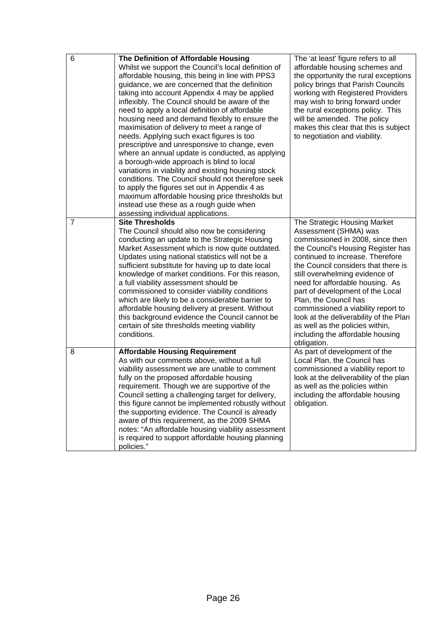| 6              | The Definition of Affordable Housing<br>Whilst we support the Council's local definition of<br>affordable housing, this being in line with PPS3<br>guidance, we are concerned that the definition<br>taking into account Appendix 4 may be applied<br>inflexibly. The Council should be aware of the<br>need to apply a local definition of affordable<br>housing need and demand flexibly to ensure the<br>maximisation of delivery to meet a range of<br>needs. Applying such exact figures is too<br>prescriptive and unresponsive to change, even<br>where an annual update is conducted, as applying<br>a borough-wide approach is blind to local<br>variations in viability and existing housing stock<br>conditions. The Council should not therefore seek<br>to apply the figures set out in Appendix 4 as<br>maximum affordable housing price thresholds but<br>instead use these as a rough guide when<br>assessing individual applications. | The 'at least' figure refers to all<br>affordable housing schemes and<br>the opportunity the rural exceptions<br>policy brings that Parish Councils<br>working with Registered Providers<br>may wish to bring forward under<br>the rural exceptions policy. This<br>will be amended. The policy<br>makes this clear that this is subject<br>to negotiation and viability.                                                                                                                                          |
|----------------|--------------------------------------------------------------------------------------------------------------------------------------------------------------------------------------------------------------------------------------------------------------------------------------------------------------------------------------------------------------------------------------------------------------------------------------------------------------------------------------------------------------------------------------------------------------------------------------------------------------------------------------------------------------------------------------------------------------------------------------------------------------------------------------------------------------------------------------------------------------------------------------------------------------------------------------------------------|--------------------------------------------------------------------------------------------------------------------------------------------------------------------------------------------------------------------------------------------------------------------------------------------------------------------------------------------------------------------------------------------------------------------------------------------------------------------------------------------------------------------|
| $\overline{7}$ | <b>Site Thresholds</b><br>The Council should also now be considering<br>conducting an update to the Strategic Housing<br>Market Assessment which is now quite outdated.<br>Updates using national statistics will not be a<br>sufficient substitute for having up to date local<br>knowledge of market conditions. For this reason,<br>a full viability assessment should be<br>commissioned to consider viability conditions<br>which are likely to be a considerable barrier to<br>affordable housing delivery at present. Without<br>this background evidence the Council cannot be<br>certain of site thresholds meeting viability<br>conditions.                                                                                                                                                                                                                                                                                                  | The Strategic Housing Market<br>Assessment (SHMA) was<br>commissioned in 2008, since then<br>the Council's Housing Register has<br>continued to increase. Therefore<br>the Council considers that there is<br>still overwhelming evidence of<br>need for affordable housing. As<br>part of development of the Local<br>Plan, the Council has<br>commissioned a viability report to<br>look at the deliverability of the Plan<br>as well as the policies within,<br>including the affordable housing<br>obligation. |
| 8              | <b>Affordable Housing Requirement</b><br>As with our comments above, without a full<br>viability assessment we are unable to comment<br>fully on the proposed affordable housing<br>requirement. Though we are supportive of the<br>Council setting a challenging target for delivery,<br>this figure cannot be implemented robustly without<br>the supporting evidence. The Council is already<br>aware of this requirement, as the 2009 SHMA<br>notes: "An affordable housing viability assessment<br>is required to support affordable housing planning<br>policies."                                                                                                                                                                                                                                                                                                                                                                               | As part of development of the<br>Local Plan, the Council has<br>commissioned a viability report to<br>look at the deliverability of the plan<br>as well as the policies within<br>including the affordable housing<br>obligation.                                                                                                                                                                                                                                                                                  |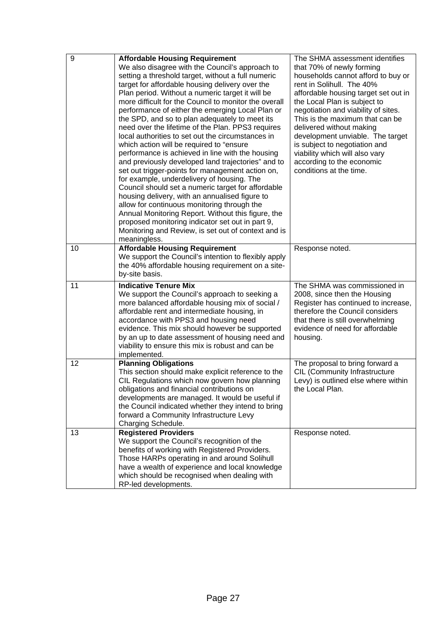| 9  | <b>Affordable Housing Requirement</b><br>We also disagree with the Council's approach to<br>setting a threshold target, without a full numeric<br>target for affordable housing delivery over the<br>Plan period. Without a numeric target it will be<br>more difficult for the Council to monitor the overall<br>performance of either the emerging Local Plan or<br>the SPD, and so to plan adequately to meet its<br>need over the lifetime of the Plan. PPS3 requires<br>local authorities to set out the circumstances in<br>which action will be required to "ensure<br>performance is achieved in line with the housing<br>and previously developed land trajectories" and to<br>set out trigger-points for management action on,<br>for example, underdelivery of housing. The<br>Council should set a numeric target for affordable<br>housing delivery, with an annualised figure to<br>allow for continuous monitoring through the<br>Annual Monitoring Report. Without this figure, the<br>proposed monitoring indicator set out in part 9,<br>Monitoring and Review, is set out of context and is<br>meaningless. | The SHMA assessment identifies<br>that 70% of newly forming<br>households cannot afford to buy or<br>rent in Solihull. The 40%<br>affordable housing target set out in<br>the Local Plan is subject to<br>negotiation and viability of sites.<br>This is the maximum that can be<br>delivered without making<br>development unviable. The target<br>is subject to negotiation and<br>viability which will also vary<br>according to the economic<br>conditions at the time. |
|----|--------------------------------------------------------------------------------------------------------------------------------------------------------------------------------------------------------------------------------------------------------------------------------------------------------------------------------------------------------------------------------------------------------------------------------------------------------------------------------------------------------------------------------------------------------------------------------------------------------------------------------------------------------------------------------------------------------------------------------------------------------------------------------------------------------------------------------------------------------------------------------------------------------------------------------------------------------------------------------------------------------------------------------------------------------------------------------------------------------------------------------|-----------------------------------------------------------------------------------------------------------------------------------------------------------------------------------------------------------------------------------------------------------------------------------------------------------------------------------------------------------------------------------------------------------------------------------------------------------------------------|
| 10 | <b>Affordable Housing Requirement</b><br>We support the Council's intention to flexibly apply<br>the 40% affordable housing requirement on a site-<br>by-site basis.                                                                                                                                                                                                                                                                                                                                                                                                                                                                                                                                                                                                                                                                                                                                                                                                                                                                                                                                                           | Response noted.                                                                                                                                                                                                                                                                                                                                                                                                                                                             |
| 11 | <b>Indicative Tenure Mix</b><br>We support the Council's approach to seeking a<br>more balanced affordable housing mix of social /<br>affordable rent and intermediate housing, in<br>accordance with PPS3 and housing need<br>evidence. This mix should however be supported<br>by an up to date assessment of housing need and<br>viability to ensure this mix is robust and can be<br>implemented.                                                                                                                                                                                                                                                                                                                                                                                                                                                                                                                                                                                                                                                                                                                          | The SHMA was commissioned in<br>2008, since then the Housing<br>Register has continued to increase,<br>therefore the Council considers<br>that there is still overwhelming<br>evidence of need for affordable<br>housing.                                                                                                                                                                                                                                                   |
| 12 | <b>Planning Obligations</b><br>This section should make explicit reference to the<br>CIL Regulations which now govern how planning<br>obligations and financial contributions on<br>developments are managed. It would be useful if<br>the Council indicated whether they intend to bring<br>forward a Community Infrastructure Levy<br>Charging Schedule.                                                                                                                                                                                                                                                                                                                                                                                                                                                                                                                                                                                                                                                                                                                                                                     | The proposal to bring forward a<br>CIL (Community Infrastructure<br>Levy) is outlined else where within<br>the Local Plan.                                                                                                                                                                                                                                                                                                                                                  |
| 13 | <b>Registered Providers</b><br>We support the Council's recognition of the<br>benefits of working with Registered Providers.<br>Those HARPs operating in and around Solihull<br>have a wealth of experience and local knowledge<br>which should be recognised when dealing with<br>RP-led developments.                                                                                                                                                                                                                                                                                                                                                                                                                                                                                                                                                                                                                                                                                                                                                                                                                        | Response noted.                                                                                                                                                                                                                                                                                                                                                                                                                                                             |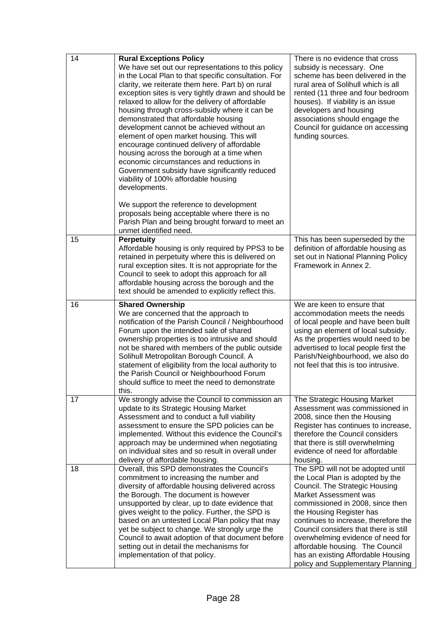| 14 | <b>Rural Exceptions Policy</b><br>We have set out our representations to this policy<br>in the Local Plan to that specific consultation. For<br>clarity, we reiterate them here. Part b) on rural<br>exception sites is very tightly drawn and should be<br>relaxed to allow for the delivery of affordable<br>housing through cross-subsidy where it can be<br>demonstrated that affordable housing<br>development cannot be achieved without an<br>element of open market housing. This will<br>encourage continued delivery of affordable<br>housing across the borough at a time when<br>economic circumstances and reductions in<br>Government subsidy have significantly reduced<br>viability of 100% affordable housing<br>developments. | There is no evidence that cross<br>subsidy is necessary. One<br>scheme has been delivered in the<br>rural area of Solihull which is all<br>rented (11 three and four bedroom<br>houses). If viability is an issue<br>developers and housing<br>associations should engage the<br>Council for guidance on accessing<br>funding sources.                                                                                               |
|----|-------------------------------------------------------------------------------------------------------------------------------------------------------------------------------------------------------------------------------------------------------------------------------------------------------------------------------------------------------------------------------------------------------------------------------------------------------------------------------------------------------------------------------------------------------------------------------------------------------------------------------------------------------------------------------------------------------------------------------------------------|--------------------------------------------------------------------------------------------------------------------------------------------------------------------------------------------------------------------------------------------------------------------------------------------------------------------------------------------------------------------------------------------------------------------------------------|
|    | We support the reference to development<br>proposals being acceptable where there is no<br>Parish Plan and being brought forward to meet an<br>unmet identified need.                                                                                                                                                                                                                                                                                                                                                                                                                                                                                                                                                                           |                                                                                                                                                                                                                                                                                                                                                                                                                                      |
| 15 | <b>Perpetuity</b><br>Affordable housing is only required by PPS3 to be<br>retained in perpetuity where this is delivered on<br>rural exception sites. It is not appropriate for the<br>Council to seek to adopt this approach for all<br>affordable housing across the borough and the<br>text should be amended to explicitly reflect this.                                                                                                                                                                                                                                                                                                                                                                                                    | This has been superseded by the<br>definition of affordable housing as<br>set out in National Planning Policy<br>Framework in Annex 2.                                                                                                                                                                                                                                                                                               |
| 16 | <b>Shared Ownership</b><br>We are concerned that the approach to<br>notification of the Parish Council / Neighbourhood<br>Forum upon the intended sale of shared<br>ownership properties is too intrusive and should<br>not be shared with members of the public outside<br>Solihull Metropolitan Borough Council. A<br>statement of eligibility from the local authority to<br>the Parish Council or Neighbourhood Forum<br>should suffice to meet the need to demonstrate<br>this.                                                                                                                                                                                                                                                            | We are keen to ensure that<br>accommodation meets the needs<br>of local people and have been built<br>using an element of local subsidy.<br>As the properties would need to be<br>advertised to local people first the<br>Parish/Neighbourhood, we also do<br>not feel that this is too intrusive.                                                                                                                                   |
| 17 | We strongly advise the Council to commission an<br>update to its Strategic Housing Market<br>Assessment and to conduct a full viability<br>assessment to ensure the SPD policies can be<br>implemented. Without this evidence the Council's<br>approach may be undermined when negotiating<br>on individual sites and so result in overall under<br>delivery of affordable housing.                                                                                                                                                                                                                                                                                                                                                             | The Strategic Housing Market<br>Assessment was commissioned in<br>2008, since then the Housing<br>Register has continues to increase,<br>therefore the Council considers<br>that there is still overwhelming<br>evidence of need for affordable<br>housing.                                                                                                                                                                          |
| 18 | Overall, this SPD demonstrates the Council's<br>commitment to increasing the number and<br>diversity of affordable housing delivered across<br>the Borough. The document is however<br>unsupported by clear, up to date evidence that<br>gives weight to the policy. Further, the SPD is<br>based on an untested Local Plan policy that may<br>yet be subject to change. We strongly urge the<br>Council to await adoption of that document before<br>setting out in detail the mechanisms for<br>implementation of that policy.                                                                                                                                                                                                                | The SPD will not be adopted until<br>the Local Plan is adopted by the<br>Council. The Strategic Housing<br>Market Assessment was<br>commissioned in 2008, since then<br>the Housing Register has<br>continues to increase, therefore the<br>Council considers that there is still<br>overwhelming evidence of need for<br>affordable housing. The Council<br>has an existing Affordable Housing<br>policy and Supplementary Planning |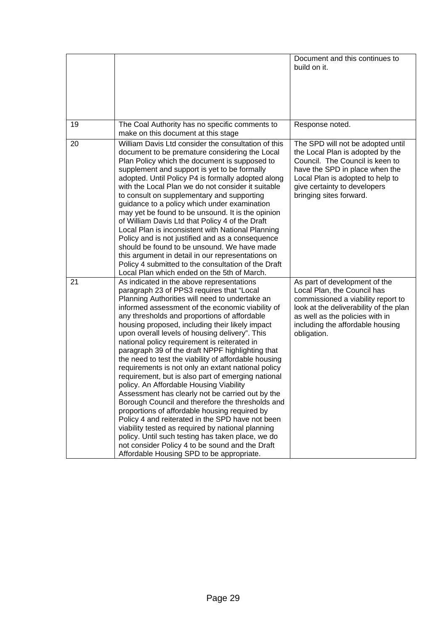|    |                                                                                                                                                                                                                                                                                                                                                                                                                                                                                                                                                                                                                                                                                                                                                                                                                                                                                                                                                                                                                                                                                             | Document and this continues to<br>build on it.                                                                                                                                                                                            |
|----|---------------------------------------------------------------------------------------------------------------------------------------------------------------------------------------------------------------------------------------------------------------------------------------------------------------------------------------------------------------------------------------------------------------------------------------------------------------------------------------------------------------------------------------------------------------------------------------------------------------------------------------------------------------------------------------------------------------------------------------------------------------------------------------------------------------------------------------------------------------------------------------------------------------------------------------------------------------------------------------------------------------------------------------------------------------------------------------------|-------------------------------------------------------------------------------------------------------------------------------------------------------------------------------------------------------------------------------------------|
| 19 | The Coal Authority has no specific comments to<br>make on this document at this stage                                                                                                                                                                                                                                                                                                                                                                                                                                                                                                                                                                                                                                                                                                                                                                                                                                                                                                                                                                                                       | Response noted.                                                                                                                                                                                                                           |
| 20 | William Davis Ltd consider the consultation of this<br>document to be premature considering the Local<br>Plan Policy which the document is supposed to<br>supplement and support is yet to be formally<br>adopted. Until Policy P4 is formally adopted along<br>with the Local Plan we do not consider it suitable<br>to consult on supplementary and supporting<br>guidance to a policy which under examination<br>may yet be found to be unsound. It is the opinion<br>of William Davis Ltd that Policy 4 of the Draft<br>Local Plan is inconsistent with National Planning<br>Policy and is not justified and as a consequence<br>should be found to be unsound. We have made<br>this argument in detail in our representations on<br>Policy 4 submitted to the consultation of the Draft<br>Local Plan which ended on the 5th of March.                                                                                                                                                                                                                                                 | The SPD will not be adopted until<br>the Local Plan is adopted by the<br>Council. The Council is keen to<br>have the SPD in place when the<br>Local Plan is adopted to help to<br>give certainty to developers<br>bringing sites forward. |
| 21 | As indicated in the above representations<br>paragraph 23 of PPS3 requires that "Local<br>Planning Authorities will need to undertake an<br>informed assessment of the economic viability of<br>any thresholds and proportions of affordable<br>housing proposed, including their likely impact<br>upon overall levels of housing delivery". This<br>national policy requirement is reiterated in<br>paragraph 39 of the draft NPPF highlighting that<br>the need to test the viability of affordable housing<br>requirements is not only an extant national policy<br>requirement, but is also part of emerging national<br>policy. An Affordable Housing Viability<br>Assessment has clearly not be carried out by the<br>Borough Council and therefore the thresholds and<br>proportions of affordable housing required by<br>Policy 4 and reiterated in the SPD have not been<br>viability tested as required by national planning<br>policy. Until such testing has taken place, we do<br>not consider Policy 4 to be sound and the Draft<br>Affordable Housing SPD to be appropriate. | As part of development of the<br>Local Plan, the Council has<br>commissioned a viability report to<br>look at the deliverability of the plan<br>as well as the policies with in<br>including the affordable housing<br>obligation.        |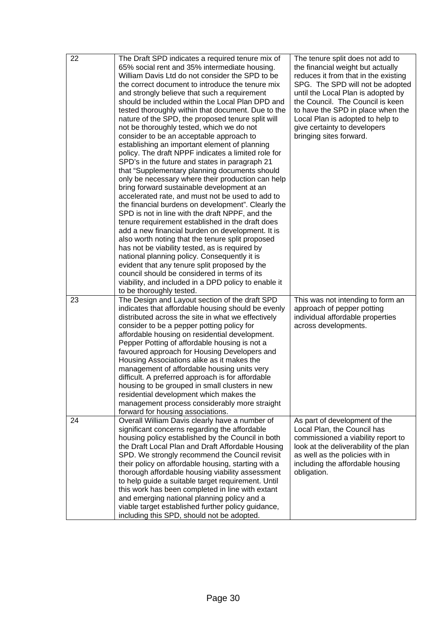| 22 | The Draft SPD indicates a required tenure mix of<br>65% social rent and 35% intermediate housing.<br>William Davis Ltd do not consider the SPD to be<br>the correct document to introduce the tenure mix<br>and strongly believe that such a requirement<br>should be included within the Local Plan DPD and<br>tested thoroughly within that document. Due to the<br>nature of the SPD, the proposed tenure split will<br>not be thoroughly tested, which we do not<br>consider to be an acceptable approach to<br>establishing an important element of planning<br>policy. The draft NPPF indicates a limited role for<br>SPD's in the future and states in paragraph 21<br>that "Supplementary planning documents should<br>only be necessary where their production can help<br>bring forward sustainable development at an<br>accelerated rate, and must not be used to add to<br>the financial burdens on development". Clearly the<br>SPD is not in line with the draft NPPF, and the<br>tenure requirement established in the draft does<br>add a new financial burden on development. It is<br>also worth noting that the tenure split proposed<br>has not be viability tested, as is required by<br>national planning policy. Consequently it is<br>evident that any tenure split proposed by the<br>council should be considered in terms of its<br>viability, and included in a DPD policy to enable it<br>to be thoroughly tested. | The tenure split does not add to<br>the financial weight but actually<br>reduces it from that in the existing<br>SPG. The SPD will not be adopted<br>until the Local Plan is adopted by<br>the Council. The Council is keen<br>to have the SPD in place when the<br>Local Plan is adopted to help to<br>give certainty to developers<br>bringing sites forward. |
|----|-------------------------------------------------------------------------------------------------------------------------------------------------------------------------------------------------------------------------------------------------------------------------------------------------------------------------------------------------------------------------------------------------------------------------------------------------------------------------------------------------------------------------------------------------------------------------------------------------------------------------------------------------------------------------------------------------------------------------------------------------------------------------------------------------------------------------------------------------------------------------------------------------------------------------------------------------------------------------------------------------------------------------------------------------------------------------------------------------------------------------------------------------------------------------------------------------------------------------------------------------------------------------------------------------------------------------------------------------------------------------------------------------------------------------------------------------|-----------------------------------------------------------------------------------------------------------------------------------------------------------------------------------------------------------------------------------------------------------------------------------------------------------------------------------------------------------------|
| 23 | The Design and Layout section of the draft SPD<br>indicates that affordable housing should be evenly<br>distributed across the site in what we effectively<br>consider to be a pepper potting policy for<br>affordable housing on residential development.<br>Pepper Potting of affordable housing is not a<br>favoured approach for Housing Developers and<br>Housing Associations alike as it makes the<br>management of affordable housing units very<br>difficult. A preferred approach is for affordable<br>housing to be grouped in small clusters in new<br>residential development which makes the<br>management process considerably more straight<br>forward for housing associations.                                                                                                                                                                                                                                                                                                                                                                                                                                                                                                                                                                                                                                                                                                                                                | This was not intending to form an<br>approach of pepper potting<br>individual affordable properties<br>across developments.                                                                                                                                                                                                                                     |
| 24 | Overall William Davis clearly have a number of<br>significant concerns regarding the affordable<br>housing policy established by the Council in both<br>the Draft Local Plan and Draft Affordable Housing<br>SPD. We strongly recommend the Council revisit<br>their policy on affordable housing, starting with a<br>thorough affordable housing viability assessment<br>to help guide a suitable target requirement. Until<br>this work has been completed in line with extant<br>and emerging national planning policy and a<br>viable target established further policy guidance,<br>including this SPD, should not be adopted.                                                                                                                                                                                                                                                                                                                                                                                                                                                                                                                                                                                                                                                                                                                                                                                                             | As part of development of the<br>Local Plan, the Council has<br>commissioned a viability report to<br>look at the deliverability of the plan<br>as well as the policies with in<br>including the affordable housing<br>obligation.                                                                                                                              |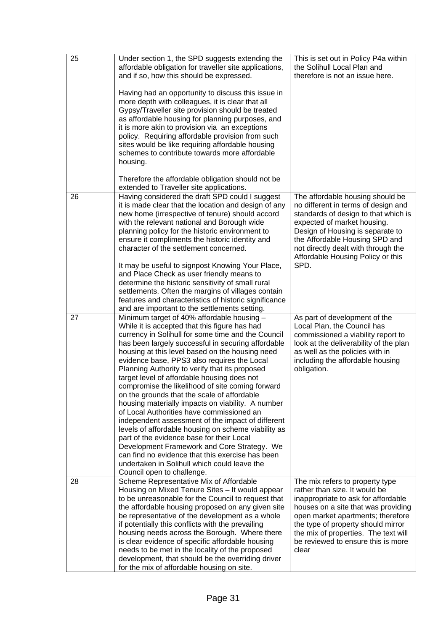| 25 | Under section 1, the SPD suggests extending the<br>affordable obligation for traveller site applications,<br>and if so, how this should be expressed.                                                                                                                                                                                                                                                                                                                                                                                                                                                                                                                                                                                                                                                                                                                                                                                                     | This is set out in Policy P4a within<br>the Solihull Local Plan and<br>therefore is not an issue here.                                                                                                                                                                                                           |
|----|-----------------------------------------------------------------------------------------------------------------------------------------------------------------------------------------------------------------------------------------------------------------------------------------------------------------------------------------------------------------------------------------------------------------------------------------------------------------------------------------------------------------------------------------------------------------------------------------------------------------------------------------------------------------------------------------------------------------------------------------------------------------------------------------------------------------------------------------------------------------------------------------------------------------------------------------------------------|------------------------------------------------------------------------------------------------------------------------------------------------------------------------------------------------------------------------------------------------------------------------------------------------------------------|
|    | Having had an opportunity to discuss this issue in<br>more depth with colleagues, it is clear that all<br>Gypsy/Traveller site provision should be treated<br>as affordable housing for planning purposes, and<br>it is more akin to provision via an exceptions<br>policy. Requiring affordable provision from such<br>sites would be like requiring affordable housing<br>schemes to contribute towards more affordable<br>housing.                                                                                                                                                                                                                                                                                                                                                                                                                                                                                                                     |                                                                                                                                                                                                                                                                                                                  |
|    | Therefore the affordable obligation should not be<br>extended to Traveller site applications.                                                                                                                                                                                                                                                                                                                                                                                                                                                                                                                                                                                                                                                                                                                                                                                                                                                             |                                                                                                                                                                                                                                                                                                                  |
| 26 | Having considered the draft SPD could I suggest<br>it is made clear that the location and design of any<br>new home (irrespective of tenure) should accord<br>with the relevant national and Borough wide<br>planning policy for the historic environment to<br>ensure it compliments the historic identity and<br>character of the settlement concerned.                                                                                                                                                                                                                                                                                                                                                                                                                                                                                                                                                                                                 | The affordable housing should be<br>no different in terms of design and<br>standards of design to that which is<br>expected of market housing.<br>Design of Housing is separate to<br>the Affordable Housing SPD and<br>not directly dealt with through the<br>Affordable Housing Policy or this<br>SPD.         |
|    | It may be useful to signpost Knowing Your Place,<br>and Place Check as user friendly means to<br>determine the historic sensitivity of small rural<br>settlements. Often the margins of villages contain<br>features and characteristics of historic significance<br>and are important to the settlements setting.                                                                                                                                                                                                                                                                                                                                                                                                                                                                                                                                                                                                                                        |                                                                                                                                                                                                                                                                                                                  |
| 27 | Minimum target of 40% affordable housing -<br>While it is accepted that this figure has had<br>currency in Solihull for some time and the Council<br>has been largely successful in securing affordable<br>housing at this level based on the housing need<br>evidence base, PPS3 also requires the Local<br>Planning Authority to verify that its proposed<br>target level of affordable housing does not<br>compromise the likelihood of site coming forward<br>on the grounds that the scale of affordable<br>housing materially impacts on viability. A number<br>of Local Authorities have commissioned an<br>independent assessment of the impact of different<br>levels of affordable housing on scheme viability as<br>part of the evidence base for their Local<br>Development Framework and Core Strategy. We<br>can find no evidence that this exercise has been<br>undertaken in Solihull which could leave the<br>Council open to challenge. | As part of development of the<br>Local Plan, the Council has<br>commissioned a viability report to<br>look at the deliverability of the plan<br>as well as the policies with in<br>including the affordable housing<br>obligation.                                                                               |
| 28 | Scheme Representative Mix of Affordable<br>Housing on Mixed Tenure Sites - It would appear<br>to be unreasonable for the Council to request that<br>the affordable housing proposed on any given site<br>be representative of the development as a whole<br>if potentially this conflicts with the prevailing<br>housing needs across the Borough. Where there<br>is clear evidence of specific affordable housing<br>needs to be met in the locality of the proposed<br>development, that should be the overriding driver<br>for the mix of affordable housing on site.                                                                                                                                                                                                                                                                                                                                                                                  | The mix refers to property type<br>rather than size. It would be<br>inappropriate to ask for affordable<br>houses on a site that was providing<br>open market apartments; therefore<br>the type of property should mirror<br>the mix of properties. The text will<br>be reviewed to ensure this is more<br>clear |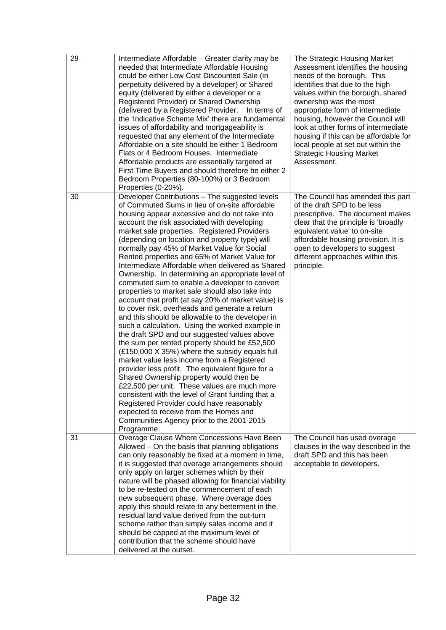| 29 | Intermediate Affordable – Greater clarity may be<br>needed that Intermediate Affordable Housing<br>could be either Low Cost Discounted Sale (in<br>perpetuity delivered by a developer) or Shared<br>equity (delivered by either a developer or a<br>Registered Provider) or Shared Ownership<br>(delivered by a Registered Provider.<br>In terms of<br>the 'Indicative Scheme Mix' there are fundamental<br>issues of affordability and mortgageability is<br>requested that any element of the Intermediate<br>Affordable on a site should be either 1 Bedroom<br>Flats or 4 Bedroom Houses. Intermediate<br>Affordable products are essentially targeted at<br>First Time Buyers and should therefore be either 2<br>Bedroom Properties (80-100%) or 3 Bedroom<br>Properties (0-20%).                                                                                                                                                                                                                                                                                                                                                                                                                                                                                                                                                                                                | The Strategic Housing Market<br>Assessment identifies the housing<br>needs of the borough. This<br>identifies that due to the high<br>values within the borough, shared<br>ownership was the most<br>appropriate form of intermediate<br>housing, however the Council will<br>look at other forms of intermediate<br>housing if this can be affordable for<br>local people at set out within the<br><b>Strategic Housing Market</b><br>Assessment. |
|----|-----------------------------------------------------------------------------------------------------------------------------------------------------------------------------------------------------------------------------------------------------------------------------------------------------------------------------------------------------------------------------------------------------------------------------------------------------------------------------------------------------------------------------------------------------------------------------------------------------------------------------------------------------------------------------------------------------------------------------------------------------------------------------------------------------------------------------------------------------------------------------------------------------------------------------------------------------------------------------------------------------------------------------------------------------------------------------------------------------------------------------------------------------------------------------------------------------------------------------------------------------------------------------------------------------------------------------------------------------------------------------------------|----------------------------------------------------------------------------------------------------------------------------------------------------------------------------------------------------------------------------------------------------------------------------------------------------------------------------------------------------------------------------------------------------------------------------------------------------|
| 30 | Developer Contributions - The suggested levels<br>of Commuted Sums in lieu of on-site affordable<br>housing appear excessive and do not take into<br>account the risk associated with developing<br>market sale properties. Registered Providers<br>(depending on location and property type) will<br>normally pay 45% of Market Value for Social<br>Rented properties and 65% of Market Value for<br>Intermediate Affordable when delivered as Shared<br>Ownership. In determining an appropriate level of<br>commuted sum to enable a developer to convert<br>properties to market sale should also take into<br>account that profit (at say 20% of market value) is<br>to cover risk, overheads and generate a return<br>and this should be allowable to the developer in<br>such a calculation. Using the worked example in<br>the draft SPD and our suggested values above<br>the sum per rented property should be £52,500<br>(£150,000 X 35%) where the subsidy equals full<br>market value less income from a Registered<br>provider less profit. The equivalent figure for a<br>Shared Ownership property would then be<br>£22,500 per unit. These values are much more<br>consistent with the level of Grant funding that a<br>Registered Provider could have reasonably<br>expected to receive from the Homes and<br>Communities Agency prior to the 2001-2015<br>Programme. | The Council has amended this part<br>of the draft SPD to be less<br>prescriptive. The document makes<br>clear that the principle is 'broadly<br>equivalent value' to on-site<br>affordable housing provision. It is<br>open to developers to suggest<br>different approaches within this<br>principle.                                                                                                                                             |
| 31 | Overage Clause Where Concessions Have Been<br>Allowed – On the basis that planning obligations<br>can only reasonably be fixed at a moment in time,<br>it is suggested that overage arrangements should<br>only apply on larger schemes which by their<br>nature will be phased allowing for financial viability<br>to be re-tested on the commencement of each<br>new subsequent phase. Where overage does<br>apply this should relate to any betterment in the<br>residual land value derived from the out-turn<br>scheme rather than simply sales income and it<br>should be capped at the maximum level of<br>contribution that the scheme should have<br>delivered at the outset.                                                                                                                                                                                                                                                                                                                                                                                                                                                                                                                                                                                                                                                                                                  | The Council has used overage<br>clauses in the way described in the<br>draft SPD and this has been<br>acceptable to developers.                                                                                                                                                                                                                                                                                                                    |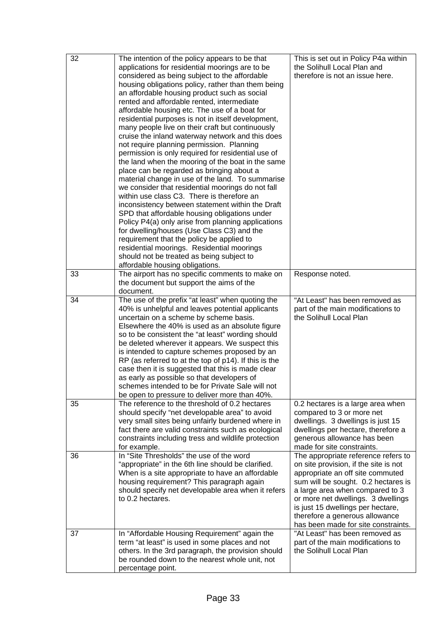| 32 | The intention of the policy appears to be that<br>applications for residential moorings are to be<br>considered as being subject to the affordable<br>housing obligations policy, rather than them being<br>an affordable housing product such as social<br>rented and affordable rented, intermediate<br>affordable housing etc. The use of a boat for<br>residential purposes is not in itself development,<br>many people live on their craft but continuously<br>cruise the inland waterway network and this does<br>not require planning permission. Planning<br>permission is only required for residential use of<br>the land when the mooring of the boat in the same<br>place can be regarded as bringing about a<br>material change in use of the land. To summarise<br>we consider that residential moorings do not fall<br>within use class C3. There is therefore an<br>inconsistency between statement within the Draft<br>SPD that affordable housing obligations under<br>Policy P4(a) only arise from planning applications<br>for dwelling/houses (Use Class C3) and the<br>requirement that the policy be applied to<br>residential moorings. Residential moorings<br>should not be treated as being subject to<br>affordable housing obligations. | This is set out in Policy P4a within<br>the Solihull Local Plan and<br>therefore is not an issue here.                                                                                                                                                                                                                                         |
|----|-----------------------------------------------------------------------------------------------------------------------------------------------------------------------------------------------------------------------------------------------------------------------------------------------------------------------------------------------------------------------------------------------------------------------------------------------------------------------------------------------------------------------------------------------------------------------------------------------------------------------------------------------------------------------------------------------------------------------------------------------------------------------------------------------------------------------------------------------------------------------------------------------------------------------------------------------------------------------------------------------------------------------------------------------------------------------------------------------------------------------------------------------------------------------------------------------------------------------------------------------------------------------|------------------------------------------------------------------------------------------------------------------------------------------------------------------------------------------------------------------------------------------------------------------------------------------------------------------------------------------------|
| 33 | The airport has no specific comments to make on<br>the document but support the aims of the<br>document.                                                                                                                                                                                                                                                                                                                                                                                                                                                                                                                                                                                                                                                                                                                                                                                                                                                                                                                                                                                                                                                                                                                                                              | Response noted.                                                                                                                                                                                                                                                                                                                                |
| 34 | The use of the prefix "at least" when quoting the<br>40% is unhelpful and leaves potential applicants<br>uncertain on a scheme by scheme basis.<br>Elsewhere the 40% is used as an absolute figure<br>so to be consistent the "at least" wording should<br>be deleted wherever it appears. We suspect this<br>is intended to capture schemes proposed by an<br>RP (as referred to at the top of p14). If this is the<br>case then it is suggested that this is made clear<br>as early as possible so that developers of<br>schemes intended to be for Private Sale will not<br>be open to pressure to deliver more than 40%.                                                                                                                                                                                                                                                                                                                                                                                                                                                                                                                                                                                                                                          | "At Least" has been removed as<br>part of the main modifications to<br>the Solihull Local Plan                                                                                                                                                                                                                                                 |
| 35 | The reference to the threshold of 0.2 hectares<br>should specify "net developable area" to avoid<br>very small sites being unfairly burdened where in<br>fact there are valid constraints such as ecological<br>constraints including tress and wildlife protection<br>for example.                                                                                                                                                                                                                                                                                                                                                                                                                                                                                                                                                                                                                                                                                                                                                                                                                                                                                                                                                                                   | 0.2 hectares is a large area when<br>compared to 3 or more net<br>dwellings. 3 dwellings is just 15<br>dwellings per hectare, therefore a<br>generous allowance has been<br>made for site constraints.                                                                                                                                         |
| 36 | In "Site Thresholds" the use of the word<br>"appropriate" in the 6th line should be clarified.<br>When is a site appropriate to have an affordable<br>housing requirement? This paragraph again<br>should specify net developable area when it refers<br>to 0.2 hectares.                                                                                                                                                                                                                                                                                                                                                                                                                                                                                                                                                                                                                                                                                                                                                                                                                                                                                                                                                                                             | The appropriate reference refers to<br>on site provision, if the site is not<br>appropriate an off site commuted<br>sum will be sought. 0.2 hectares is<br>a large area when compared to 3<br>or more net dwellings. 3 dwellings<br>is just 15 dwellings per hectare,<br>therefore a generous allowance<br>has been made for site constraints. |
| 37 | In "Affordable Housing Requirement" again the<br>term "at least" is used in some places and not<br>others. In the 3rd paragraph, the provision should<br>be rounded down to the nearest whole unit, not<br>percentage point.                                                                                                                                                                                                                                                                                                                                                                                                                                                                                                                                                                                                                                                                                                                                                                                                                                                                                                                                                                                                                                          | "At Least" has been removed as<br>part of the main modifications to<br>the Solihull Local Plan                                                                                                                                                                                                                                                 |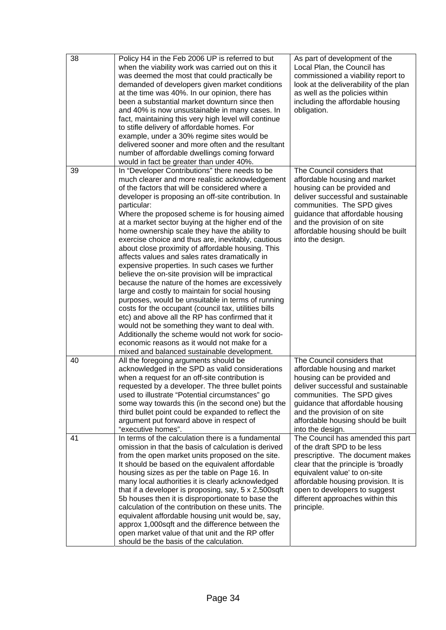| 38 | Policy H4 in the Feb 2006 UP is referred to but<br>when the viability work was carried out on this it<br>was deemed the most that could practically be<br>demanded of developers given market conditions<br>at the time was 40%. In our opinion, there has<br>been a substantial market downturn since then<br>and 40% is now unsustainable in many cases. In<br>fact, maintaining this very high level will continue<br>to stifle delivery of affordable homes. For<br>example, under a 30% regime sites would be<br>delivered sooner and more often and the resultant<br>number of affordable dwellings coming forward<br>would in fact be greater than under 40%.                                                                                                                                                                                                                                                                                                                                                                                                                                                              | As part of development of the<br>Local Plan, the Council has<br>commissioned a viability report to<br>look at the deliverability of the plan<br>as well as the policies within<br>including the affordable housing<br>obligation.                                                                      |
|----|-----------------------------------------------------------------------------------------------------------------------------------------------------------------------------------------------------------------------------------------------------------------------------------------------------------------------------------------------------------------------------------------------------------------------------------------------------------------------------------------------------------------------------------------------------------------------------------------------------------------------------------------------------------------------------------------------------------------------------------------------------------------------------------------------------------------------------------------------------------------------------------------------------------------------------------------------------------------------------------------------------------------------------------------------------------------------------------------------------------------------------------|--------------------------------------------------------------------------------------------------------------------------------------------------------------------------------------------------------------------------------------------------------------------------------------------------------|
| 39 | In "Developer Contributions" there needs to be<br>much clearer and more realistic acknowledgement<br>of the factors that will be considered where a<br>developer is proposing an off-site contribution. In<br>particular:<br>Where the proposed scheme is for housing aimed<br>at a market sector buying at the higher end of the<br>home ownership scale they have the ability to<br>exercise choice and thus are, inevitably, cautious<br>about close proximity of affordable housing. This<br>affects values and sales rates dramatically in<br>expensive properties. In such cases we further<br>believe the on-site provision will be impractical<br>because the nature of the homes are excessively<br>large and costly to maintain for social housing<br>purposes, would be unsuitable in terms of running<br>costs for the occupant (council tax, utilities bills<br>etc) and above all the RP has confirmed that it<br>would not be something they want to deal with.<br>Additionally the scheme would not work for socio-<br>economic reasons as it would not make for a<br>mixed and balanced sustainable development. | The Council considers that<br>affordable housing and market<br>housing can be provided and<br>deliver successful and sustainable<br>communities. The SPD gives<br>guidance that affordable housing<br>and the provision of on site<br>affordable housing should be built<br>into the design.           |
| 40 | All the foregoing arguments should be<br>acknowledged in the SPD as valid considerations<br>when a request for an off-site contribution is<br>requested by a developer. The three bullet points<br>used to illustrate "Potential circumstances" go<br>some way towards this (in the second one) but the<br>third bullet point could be expanded to reflect the<br>argument put forward above in respect of<br>"executive homes".                                                                                                                                                                                                                                                                                                                                                                                                                                                                                                                                                                                                                                                                                                  | The Council considers that<br>affordable housing and market<br>housing can be provided and<br>deliver successful and sustainable<br>communities. The SPD gives<br>guidance that affordable housing<br>and the provision of on site<br>affordable housing should be built<br>into the design.           |
| 41 | In terms of the calculation there is a fundamental<br>omission in that the basis of calculation is derived<br>from the open market units proposed on the site.<br>It should be based on the equivalent affordable<br>housing sizes as per the table on Page 16. In<br>many local authorities it is clearly acknowledged<br>that if a developer is proposing, say, 5 x 2,500sqft<br>5b houses then it is disproportionate to base the<br>calculation of the contribution on these units. The<br>equivalent affordable housing unit would be, say,<br>approx 1,000sqft and the difference between the<br>open market value of that unit and the RP offer<br>should be the basis of the calculation.                                                                                                                                                                                                                                                                                                                                                                                                                                 | The Council has amended this part<br>of the draft SPD to be less<br>prescriptive. The document makes<br>clear that the principle is 'broadly<br>equivalent value' to on-site<br>affordable housing provision. It is<br>open to developers to suggest<br>different approaches within this<br>principle. |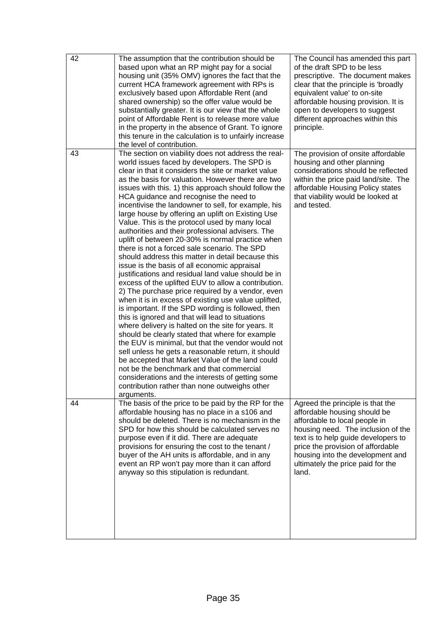| 42 | The assumption that the contribution should be<br>based upon what an RP might pay for a social<br>housing unit (35% OMV) ignores the fact that the<br>current HCA framework agreement with RPs is<br>exclusively based upon Affordable Rent (and<br>shared ownership) so the offer value would be<br>substantially greater. It is our view that the whole<br>point of Affordable Rent is to release more value<br>in the property in the absence of Grant. To ignore<br>this tenure in the calculation is to unfairly increase<br>the level of contribution.                                                                                                                                                                                                                                                                                                                                                                                                                                                                                                                                                                                                                                                                                                                                                                                                                                                                                                                                                           | The Council has amended this part<br>of the draft SPD to be less<br>prescriptive. The document makes<br>clear that the principle is 'broadly<br>equivalent value' to on-site<br>affordable housing provision. It is<br>open to developers to suggest<br>different approaches within this<br>principle. |
|----|------------------------------------------------------------------------------------------------------------------------------------------------------------------------------------------------------------------------------------------------------------------------------------------------------------------------------------------------------------------------------------------------------------------------------------------------------------------------------------------------------------------------------------------------------------------------------------------------------------------------------------------------------------------------------------------------------------------------------------------------------------------------------------------------------------------------------------------------------------------------------------------------------------------------------------------------------------------------------------------------------------------------------------------------------------------------------------------------------------------------------------------------------------------------------------------------------------------------------------------------------------------------------------------------------------------------------------------------------------------------------------------------------------------------------------------------------------------------------------------------------------------------|--------------------------------------------------------------------------------------------------------------------------------------------------------------------------------------------------------------------------------------------------------------------------------------------------------|
| 43 | The section on viability does not address the real-<br>world issues faced by developers. The SPD is<br>clear in that it considers the site or market value<br>as the basis for valuation. However there are two<br>issues with this. 1) this approach should follow the<br>HCA guidance and recognise the need to<br>incentivise the landowner to sell, for example, his<br>large house by offering an uplift on Existing Use<br>Value. This is the protocol used by many local<br>authorities and their professional advisers. The<br>uplift of between 20-30% is normal practice when<br>there is not a forced sale scenario. The SPD<br>should address this matter in detail because this<br>issue is the basis of all economic appraisal<br>justifications and residual land value should be in<br>excess of the uplifted EUV to allow a contribution.<br>2) The purchase price required by a vendor, even<br>when it is in excess of existing use value uplifted,<br>is important. If the SPD wording is followed, then<br>this is ignored and that will lead to situations<br>where delivery is halted on the site for years. It<br>should be clearly stated that where for example<br>the EUV is minimal, but that the vendor would not<br>sell unless he gets a reasonable return, it should<br>be accepted that Market Value of the land could<br>not be the benchmark and that commercial<br>considerations and the interests of getting some<br>contribution rather than none outweighs other<br>arguments. | The provision of onsite affordable<br>housing and other planning<br>considerations should be reflected<br>within the price paid land/site. The<br>affordable Housing Policy states<br>that viability would be looked at<br>and tested.                                                                 |
| 44 | The basis of the price to be paid by the RP for the<br>affordable housing has no place in a s106 and<br>should be deleted. There is no mechanism in the<br>SPD for how this should be calculated serves no<br>purpose even if it did. There are adequate<br>provisions for ensuring the cost to the tenant /<br>buyer of the AH units is affordable, and in any<br>event an RP won't pay more than it can afford<br>anyway so this stipulation is redundant.                                                                                                                                                                                                                                                                                                                                                                                                                                                                                                                                                                                                                                                                                                                                                                                                                                                                                                                                                                                                                                                           | Agreed the principle is that the<br>affordable housing should be<br>affordable to local people in<br>housing need. The inclusion of the<br>text is to help guide developers to<br>price the provision of affordable<br>housing into the development and<br>ultimately the price paid for the<br>land.  |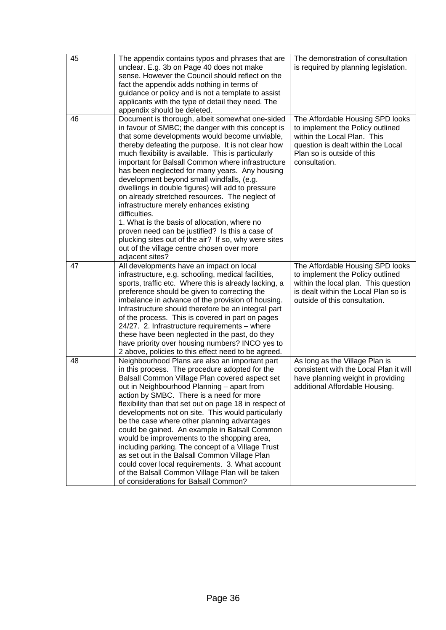| 45 | The appendix contains typos and phrases that are<br>unclear. E.g. 3b on Page 40 does not make<br>sense. However the Council should reflect on the<br>fact the appendix adds nothing in terms of<br>guidance or policy and is not a template to assist<br>applicants with the type of detail they need. The<br>appendix should be deleted.                                                                                                                                                                                                                                                                                                                                                                                                                                                                              | The demonstration of consultation<br>is required by planning legislation.                                                                                                                |
|----|------------------------------------------------------------------------------------------------------------------------------------------------------------------------------------------------------------------------------------------------------------------------------------------------------------------------------------------------------------------------------------------------------------------------------------------------------------------------------------------------------------------------------------------------------------------------------------------------------------------------------------------------------------------------------------------------------------------------------------------------------------------------------------------------------------------------|------------------------------------------------------------------------------------------------------------------------------------------------------------------------------------------|
| 46 | Document is thorough, albeit somewhat one-sided<br>in favour of SMBC; the danger with this concept is<br>that some developments would become unviable,<br>thereby defeating the purpose. It is not clear how<br>much flexibility is available. This is particularly<br>important for Balsall Common where infrastructure<br>has been neglected for many years. Any housing<br>development beyond small windfalls, (e.g.<br>dwellings in double figures) will add to pressure<br>on already stretched resources. The neglect of<br>infrastructure merely enhances existing<br>difficulties.<br>1. What is the basis of allocation, where no<br>proven need can be justified? Is this a case of<br>plucking sites out of the air? If so, why were sites<br>out of the village centre chosen over more<br>adjacent sites? | The Affordable Housing SPD looks<br>to implement the Policy outlined<br>within the Local Plan. This<br>question is dealt within the Local<br>Plan so is outside of this<br>consultation. |
| 47 | All developments have an impact on local<br>infrastructure, e.g. schooling, medical facilities,<br>sports, traffic etc. Where this is already lacking, a<br>preference should be given to correcting the<br>imbalance in advance of the provision of housing.<br>Infrastructure should therefore be an integral part<br>of the process. This is covered in part on pages<br>24/27. 2. Infrastructure requirements - where<br>these have been neglected in the past, do they<br>have priority over housing numbers? INCO yes to<br>2 above, policies to this effect need to be agreed.                                                                                                                                                                                                                                  | The Affordable Housing SPD looks<br>to implement the Policy outlined<br>within the local plan. This question<br>is dealt within the Local Plan so is<br>outside of this consultation.    |
| 48 | Neighbourhood Plans are also an important part<br>in this process. The procedure adopted for the<br>Balsall Common Village Plan covered aspect set<br>out in Neighbourhood Planning - apart from<br>action by SMBC. There is a need for more<br>flexibility than that set out on page 18 in respect of<br>developments not on site. This would particularly<br>be the case where other planning advantages<br>could be gained. An example in Balsall Common<br>would be improvements to the shopping area,<br>including parking. The concept of a Village Trust<br>as set out in the Balsall Common Village Plan<br>could cover local requirements. 3. What account<br>of the Balsall Common Village Plan will be taken<br>of considerations for Balsall Common?                                                       | As long as the Village Plan is<br>consistent with the Local Plan it will<br>have planning weight in providing<br>additional Affordable Housing.                                          |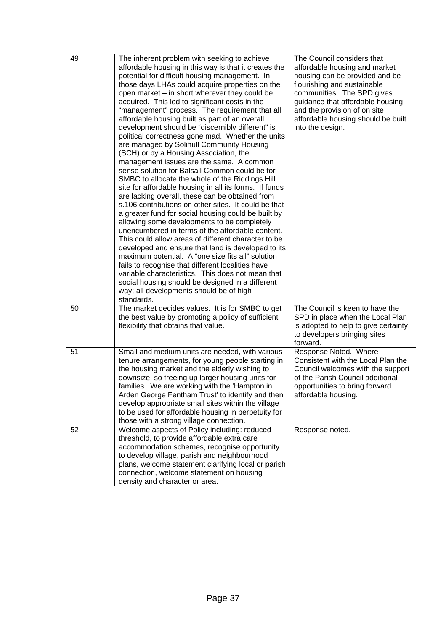| 49 | The inherent problem with seeking to achieve<br>affordable housing in this way is that it creates the<br>potential for difficult housing management. In<br>those days LHAs could acquire properties on the<br>open market – in short wherever they could be<br>acquired. This led to significant costs in the<br>"management" process. The requirement that all<br>affordable housing built as part of an overall<br>development should be "discernibly different" is<br>political correctness gone mad. Whether the units<br>are managed by Solihull Community Housing<br>(SCH) or by a Housing Association, the<br>management issues are the same. A common<br>sense solution for Balsall Common could be for<br>SMBC to allocate the whole of the Riddings Hill<br>site for affordable housing in all its forms. If funds<br>are lacking overall, these can be obtained from<br>s.106 contributions on other sites. It could be that<br>a greater fund for social housing could be built by<br>allowing some developments to be completely<br>unencumbered in terms of the affordable content.<br>This could allow areas of different character to be<br>developed and ensure that land is developed to its<br>maximum potential. A "one size fits all" solution<br>fails to recognise that different localities have<br>variable characteristics. This does not mean that<br>social housing should be designed in a different<br>way; all developments should be of high<br>standards. | The Council considers that<br>affordable housing and market<br>housing can be provided and be<br>flourishing and sustainable<br>communities. The SPD gives<br>guidance that affordable housing<br>and the provision of on site<br>affordable housing should be built<br>into the design. |
|----|--------------------------------------------------------------------------------------------------------------------------------------------------------------------------------------------------------------------------------------------------------------------------------------------------------------------------------------------------------------------------------------------------------------------------------------------------------------------------------------------------------------------------------------------------------------------------------------------------------------------------------------------------------------------------------------------------------------------------------------------------------------------------------------------------------------------------------------------------------------------------------------------------------------------------------------------------------------------------------------------------------------------------------------------------------------------------------------------------------------------------------------------------------------------------------------------------------------------------------------------------------------------------------------------------------------------------------------------------------------------------------------------------------------------------------------------------------------------------------------------|------------------------------------------------------------------------------------------------------------------------------------------------------------------------------------------------------------------------------------------------------------------------------------------|
| 50 | The market decides values. It is for SMBC to get<br>the best value by promoting a policy of sufficient<br>flexibility that obtains that value.                                                                                                                                                                                                                                                                                                                                                                                                                                                                                                                                                                                                                                                                                                                                                                                                                                                                                                                                                                                                                                                                                                                                                                                                                                                                                                                                             | The Council is keen to have the<br>SPD in place when the Local Plan<br>is adopted to help to give certainty<br>to developers bringing sites<br>forward.                                                                                                                                  |
| 51 | Small and medium units are needed, with various<br>tenure arrangements, for young people starting in<br>the housing market and the elderly wishing to<br>downsize, so freeing up larger housing units for<br>families. We are working with the 'Hampton in<br>Arden George Fentham Trust' to identify and then<br>develop appropriate small sites within the village<br>to be used for affordable housing in perpetuity for<br>those with a strong village connection.                                                                                                                                                                                                                                                                                                                                                                                                                                                                                                                                                                                                                                                                                                                                                                                                                                                                                                                                                                                                                     | Response Noted. Where<br>Consistent with the Local Plan the<br>Council welcomes with the support<br>of the Parish Council additional<br>opportunities to bring forward<br>affordable housing.                                                                                            |
| 52 | Welcome aspects of Policy including: reduced<br>threshold, to provide affordable extra care<br>accommodation schemes, recognise opportunity<br>to develop village, parish and neighbourhood<br>plans, welcome statement clarifying local or parish<br>connection, welcome statement on housing<br>density and character or area.                                                                                                                                                                                                                                                                                                                                                                                                                                                                                                                                                                                                                                                                                                                                                                                                                                                                                                                                                                                                                                                                                                                                                           | Response noted.                                                                                                                                                                                                                                                                          |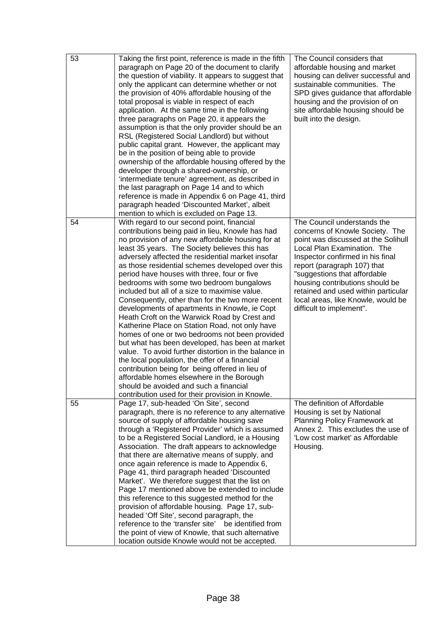| 53 | Taking the first point, reference is made in the fifth<br>paragraph on Page 20 of the document to clarify<br>the question of viability. It appears to suggest that<br>only the applicant can determine whether or not<br>the provision of 40% affordable housing of the<br>total proposal is viable in respect of each<br>application. At the same time in the following<br>three paragraphs on Page 20, it appears the<br>assumption is that the only provider should be an<br>RSL (Registered Social Landlord) but without<br>public capital grant. However, the applicant may<br>be in the position of being able to provide<br>ownership of the affordable housing offered by the<br>developer through a shared-ownership, or<br>'intermediate tenure' agreement, as described in<br>the last paragraph on Page 14 and to which<br>reference is made in Appendix 6 on Page 41, third<br>paragraph headed 'Discounted Market', albeit<br>mention to which is excluded on Page 13.                                                                                          | The Council considers that<br>affordable housing and market<br>housing can deliver successful and<br>sustainable communities. The<br>SPD gives guidance that affordable<br>housing and the provision of on<br>site affordable housing should be<br>built into the design.                                                                                                           |
|----|-------------------------------------------------------------------------------------------------------------------------------------------------------------------------------------------------------------------------------------------------------------------------------------------------------------------------------------------------------------------------------------------------------------------------------------------------------------------------------------------------------------------------------------------------------------------------------------------------------------------------------------------------------------------------------------------------------------------------------------------------------------------------------------------------------------------------------------------------------------------------------------------------------------------------------------------------------------------------------------------------------------------------------------------------------------------------------|-------------------------------------------------------------------------------------------------------------------------------------------------------------------------------------------------------------------------------------------------------------------------------------------------------------------------------------------------------------------------------------|
| 54 | With regard to our second point, financial<br>contributions being paid in lieu, Knowle has had<br>no provision of any new affordable housing for at<br>least 35 years. The Society believes this has<br>adversely affected the residential market insofar<br>as those residential schemes developed over this<br>period have houses with three, four or five<br>bedrooms with some two bedroom bungalows<br>included but all of a size to maximise value.<br>Consequently, other than for the two more recent<br>developments of apartments in Knowle, ie Copt<br>Heath Croft on the Warwick Road by Crest and<br>Katherine Place on Station Road, not only have<br>homes of one or two bedrooms not been provided<br>but what has been developed, has been at market<br>value. To avoid further distortion in the balance in<br>the local population, the offer of a financial<br>contribution being for being offered in lieu of<br>affordable homes elsewhere in the Borough<br>should be avoided and such a financial<br>contribution used for their provision in Knowle. | The Council understands the<br>concerns of Knowle Society. The<br>point was discussed at the Solihull<br>Local Plan Examination. The<br>Inspector confirmed in his final<br>report (paragraph 107) that<br>"suggestions that affordable<br>housing contributions should be<br>retained and used within particular<br>local areas, like Knowle, would be<br>difficult to implement". |
| 55 | Page 17, sub-headed 'On Site', second<br>paragraph, there is no reference to any alternative<br>source of supply of affordable housing save<br>through a 'Registered Provider' which is assumed<br>to be a Registered Social Landlord, ie a Housing<br>Association. The draft appears to acknowledge<br>that there are alternative means of supply, and<br>once again reference is made to Appendix 6,<br>Page 41, third paragraph headed 'Discounted<br>Market'. We therefore suggest that the list on<br>Page 17 mentioned above be extended to include<br>this reference to this suggested method for the<br>provision of affordable housing. Page 17, sub-<br>headed 'Off Site', second paragraph, the<br>reference to the 'transfer site'<br>be identified from<br>the point of view of Knowle, that such alternative<br>location outside Knowle would not be accepted.                                                                                                                                                                                                  | The definition of Affordable<br>Housing is set by National<br>Planning Policy Framework at<br>Annex 2. This excludes the use of<br>'Low cost market' as Affordable<br>Housing.                                                                                                                                                                                                      |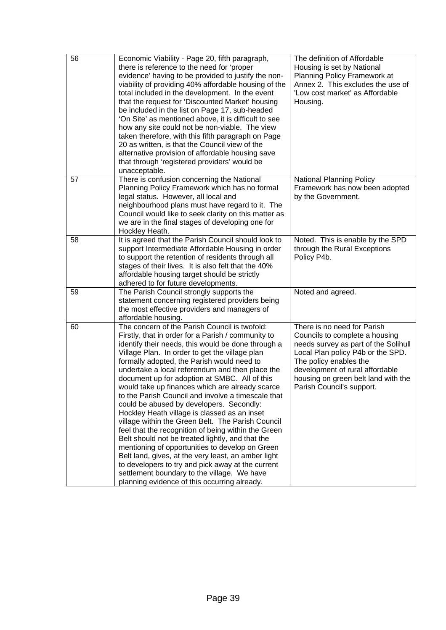| 56 | Economic Viability - Page 20, fifth paragraph,<br>there is reference to the need for 'proper<br>evidence' having to be provided to justify the non-<br>viability of providing 40% affordable housing of the<br>total included in the development. In the event<br>that the request for 'Discounted Market' housing<br>be included in the list on Page 17, sub-headed<br>'On Site' as mentioned above, it is difficult to see<br>how any site could not be non-viable. The view<br>taken therefore, with this fifth paragraph on Page<br>20 as written, is that the Council view of the<br>alternative provision of affordable housing save<br>that through 'registered providers' would be<br>unacceptable.                                                                                                                                                                                                                                                                                      | The definition of Affordable<br>Housing is set by National<br>Planning Policy Framework at<br>Annex 2. This excludes the use of<br>'Low cost market' as Affordable<br>Housing.                                                                                              |
|----|--------------------------------------------------------------------------------------------------------------------------------------------------------------------------------------------------------------------------------------------------------------------------------------------------------------------------------------------------------------------------------------------------------------------------------------------------------------------------------------------------------------------------------------------------------------------------------------------------------------------------------------------------------------------------------------------------------------------------------------------------------------------------------------------------------------------------------------------------------------------------------------------------------------------------------------------------------------------------------------------------|-----------------------------------------------------------------------------------------------------------------------------------------------------------------------------------------------------------------------------------------------------------------------------|
| 57 | There is confusion concerning the National<br>Planning Policy Framework which has no formal<br>legal status. However, all local and<br>neighbourhood plans must have regard to it. The<br>Council would like to seek clarity on this matter as<br>we are in the final stages of developing one for<br>Hockley Heath.                                                                                                                                                                                                                                                                                                                                                                                                                                                                                                                                                                                                                                                                             | <b>National Planning Policy</b><br>Framework has now been adopted<br>by the Government.                                                                                                                                                                                     |
| 58 | It is agreed that the Parish Council should look to<br>support Intermediate Affordable Housing in order<br>to support the retention of residents through all<br>stages of their lives. It is also felt that the 40%<br>affordable housing target should be strictly<br>adhered to for future developments.                                                                                                                                                                                                                                                                                                                                                                                                                                                                                                                                                                                                                                                                                       | Noted. This is enable by the SPD<br>through the Rural Exceptions<br>Policy P4b.                                                                                                                                                                                             |
| 59 | The Parish Council strongly supports the<br>statement concerning registered providers being<br>the most effective providers and managers of<br>affordable housing.                                                                                                                                                                                                                                                                                                                                                                                                                                                                                                                                                                                                                                                                                                                                                                                                                               | Noted and agreed.                                                                                                                                                                                                                                                           |
| 60 | The concern of the Parish Council is twofold:<br>Firstly, that in order for a Parish / community to<br>identify their needs, this would be done through a<br>Village Plan. In order to get the village plan<br>formally adopted, the Parish would need to<br>undertake a local referendum and then place the<br>document up for adoption at SMBC. All of this<br>would take up finances which are already scarce<br>to the Parish Council and involve a timescale that<br>could be abused by developers. Secondly:<br>Hockley Heath village is classed as an inset<br>village within the Green Belt. The Parish Council<br>feel that the recognition of being within the Green<br>Belt should not be treated lightly, and that the<br>mentioning of opportunities to develop on Green<br>Belt land, gives, at the very least, an amber light<br>to developers to try and pick away at the current<br>settlement boundary to the village. We have<br>planning evidence of this occurring already. | There is no need for Parish<br>Councils to complete a housing<br>needs survey as part of the Solihull<br>Local Plan policy P4b or the SPD.<br>The policy enables the<br>development of rural affordable<br>housing on green belt land with the<br>Parish Council's support. |